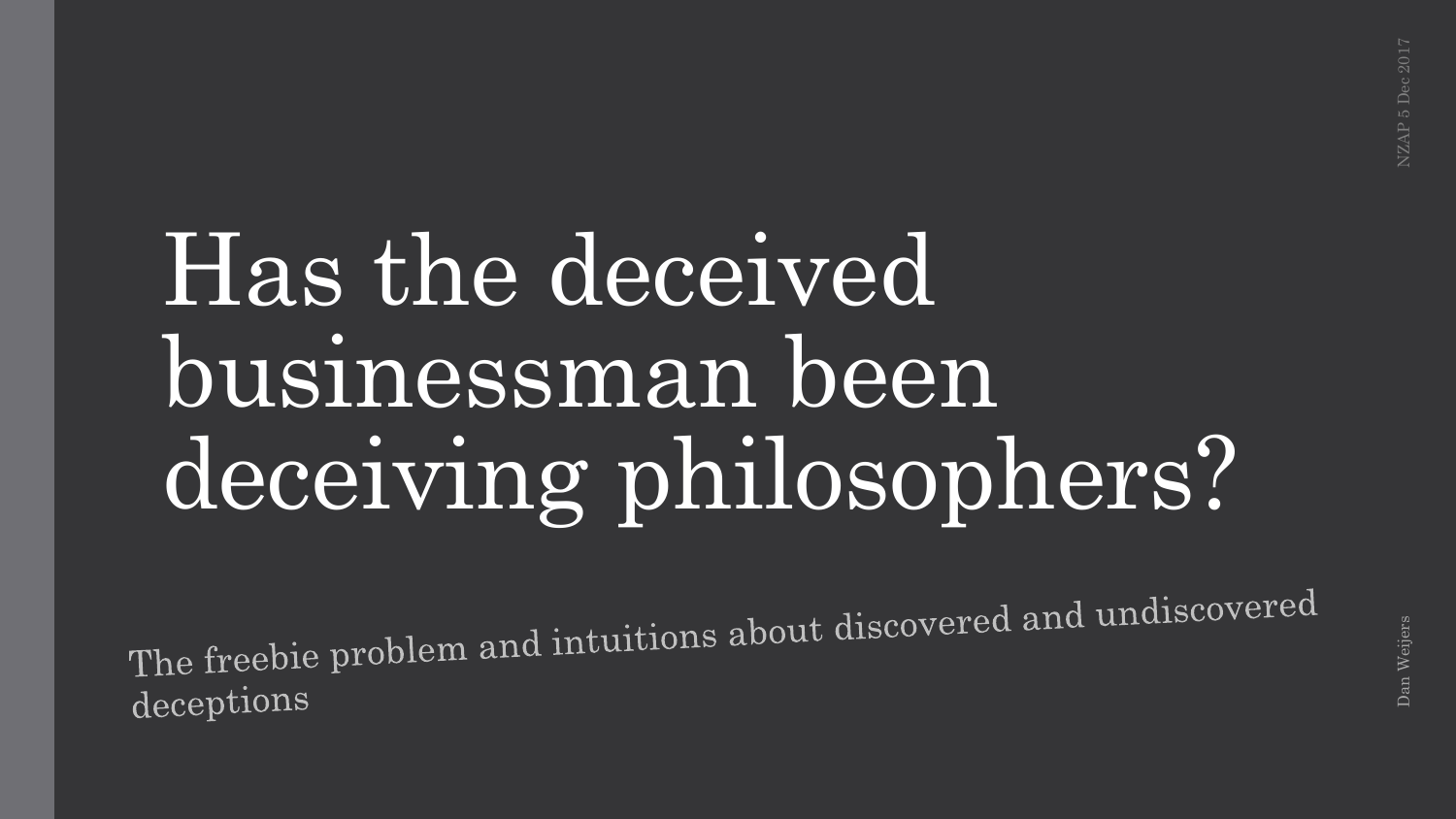## Has the deceived businessman been deceiving philosophers?

The freebie problem and intuitions about discovered and undiscovered deceptions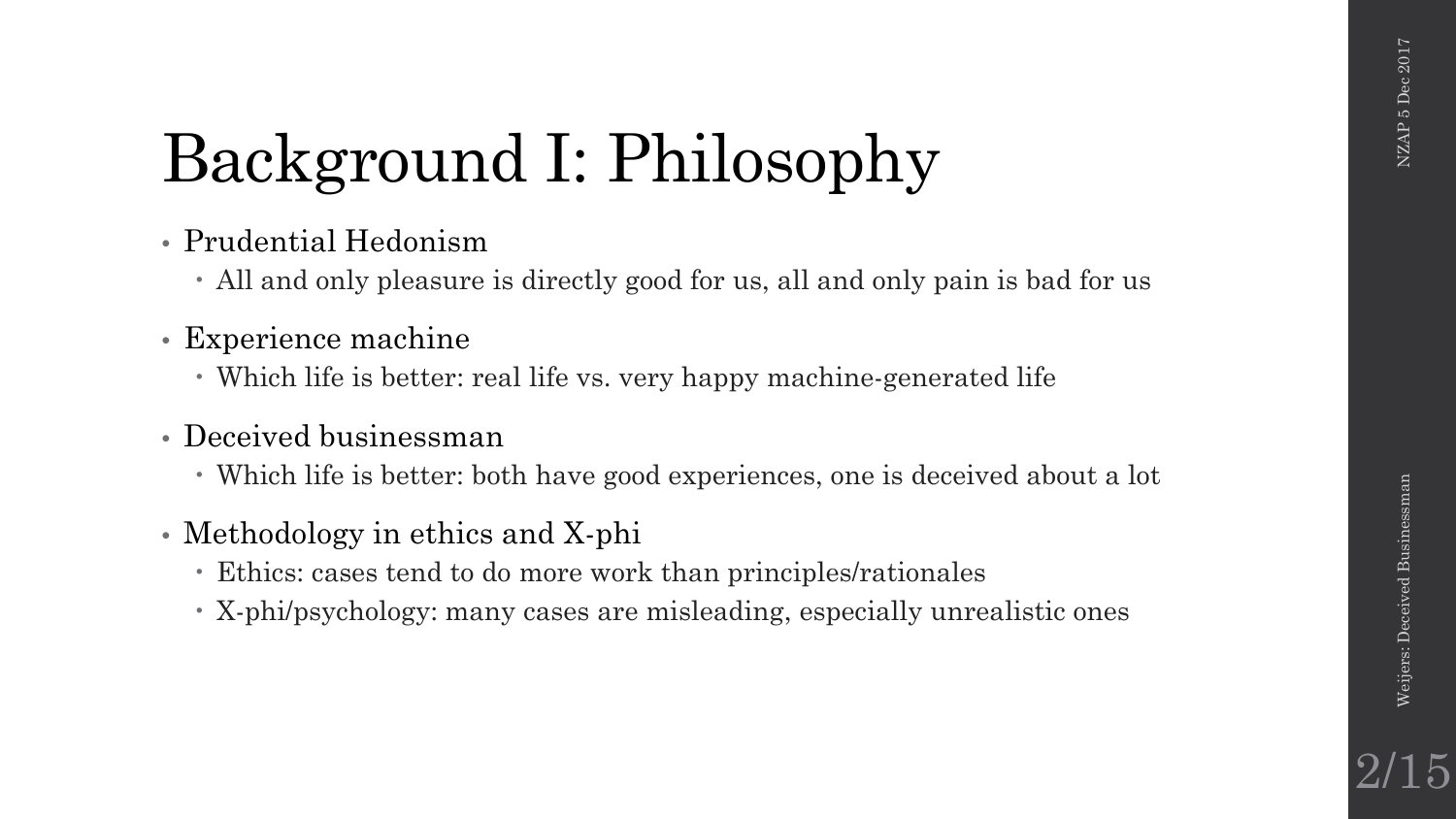2/15

## Background I: Philosophy

- Prudential Hedonism
	- All and only pleasure is directly good for us, all and only pain is bad for us
- Experience machine
	- Which life is better: real life vs. very happy machine-generated life
- Deceived businessman
	- Which life is better: both have good experiences, one is deceived about a lot
- Methodology in ethics and X-phi
	- Ethics: cases tend to do more work than principles/rationales
	- X-phi/psychology: many cases are misleading, especially unrealistic ones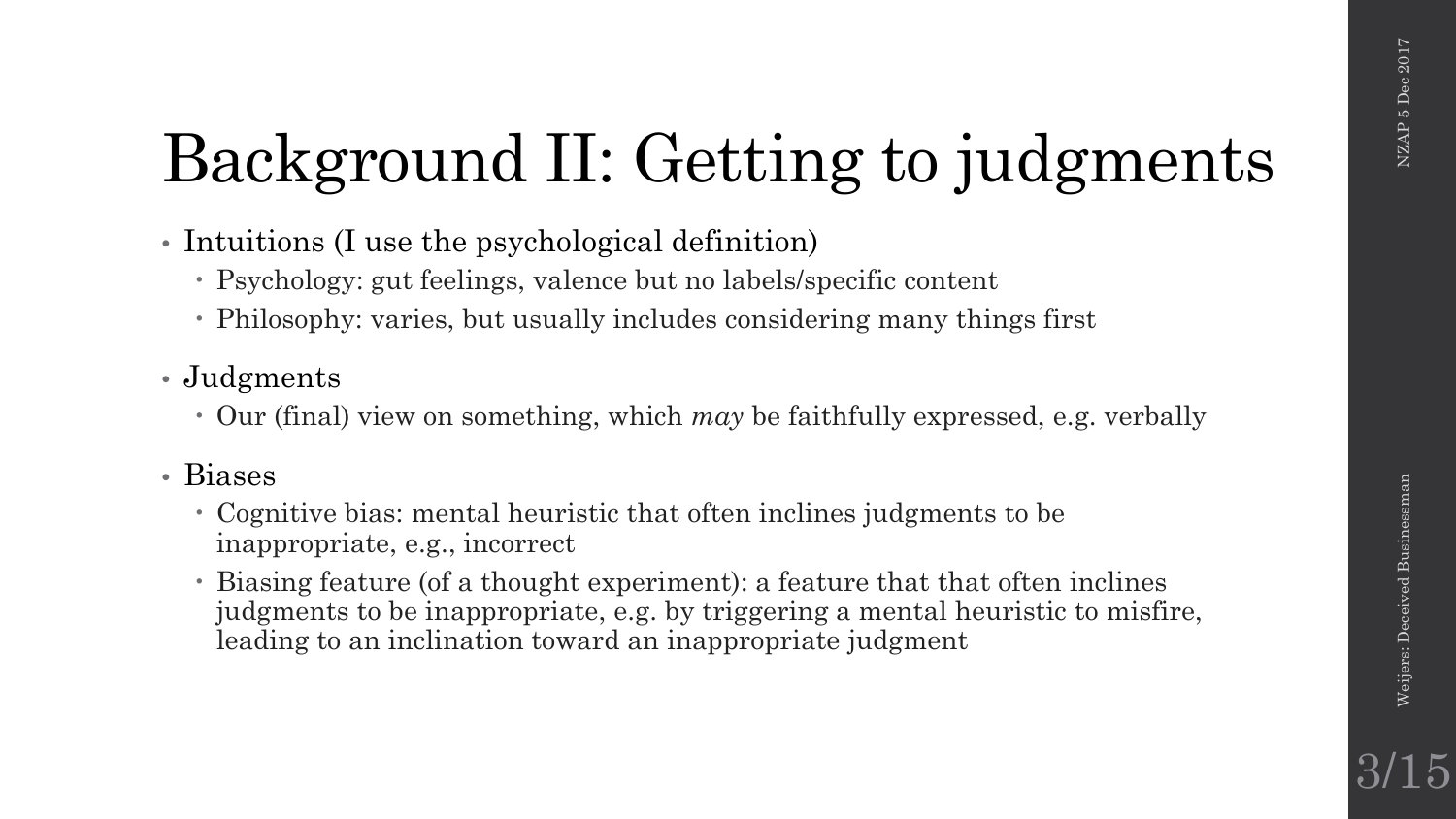## Background II: Getting to judgments

- Intuitions (I use the psychological definition)
	- Psychology: gut feelings, valence but no labels/specific content
	- Philosophy: varies, but usually includes considering many things first

### • Judgments

Our (final) view on something, which *may* be faithfully expressed, e.g. verbally

### • Biases

- Cognitive bias: mental heuristic that often inclines judgments to be inappropriate, e.g., incorrect
- Biasing feature (of a thought experiment): a feature that that often inclines judgments to be inappropriate, e.g. by triggering a mental heuristic to misfire, leading to an inclination toward an inappropriate judgment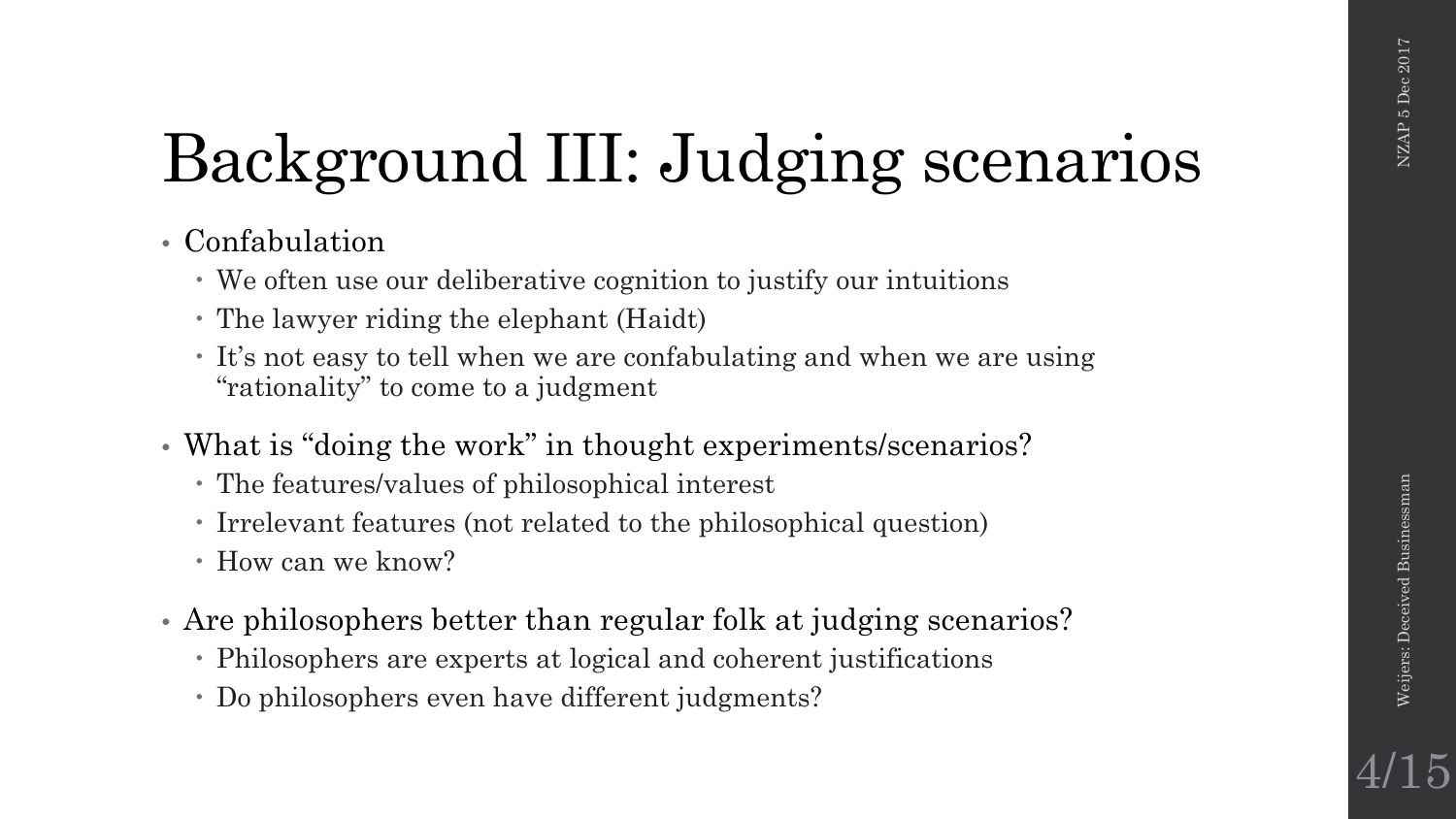## Background III: Judging scenarios

- Confabulation
	- We often use our deliberative cognition to justify our intuitions
	- The lawyer riding the elephant (Haidt)
	- It's not easy to tell when we are confabulating and when we are using "rationality" to come to a judgment
- What is "doing the work" in thought experiments/scenarios?
	- The features/values of philosophical interest
	- Irrelevant features (not related to the philosophical question)
	- How can we know?
- Are philosophers better than regular folk at judging scenarios?
	- Philosophers are experts at logical and coherent justifications
	- Do philosophers even have different judgments?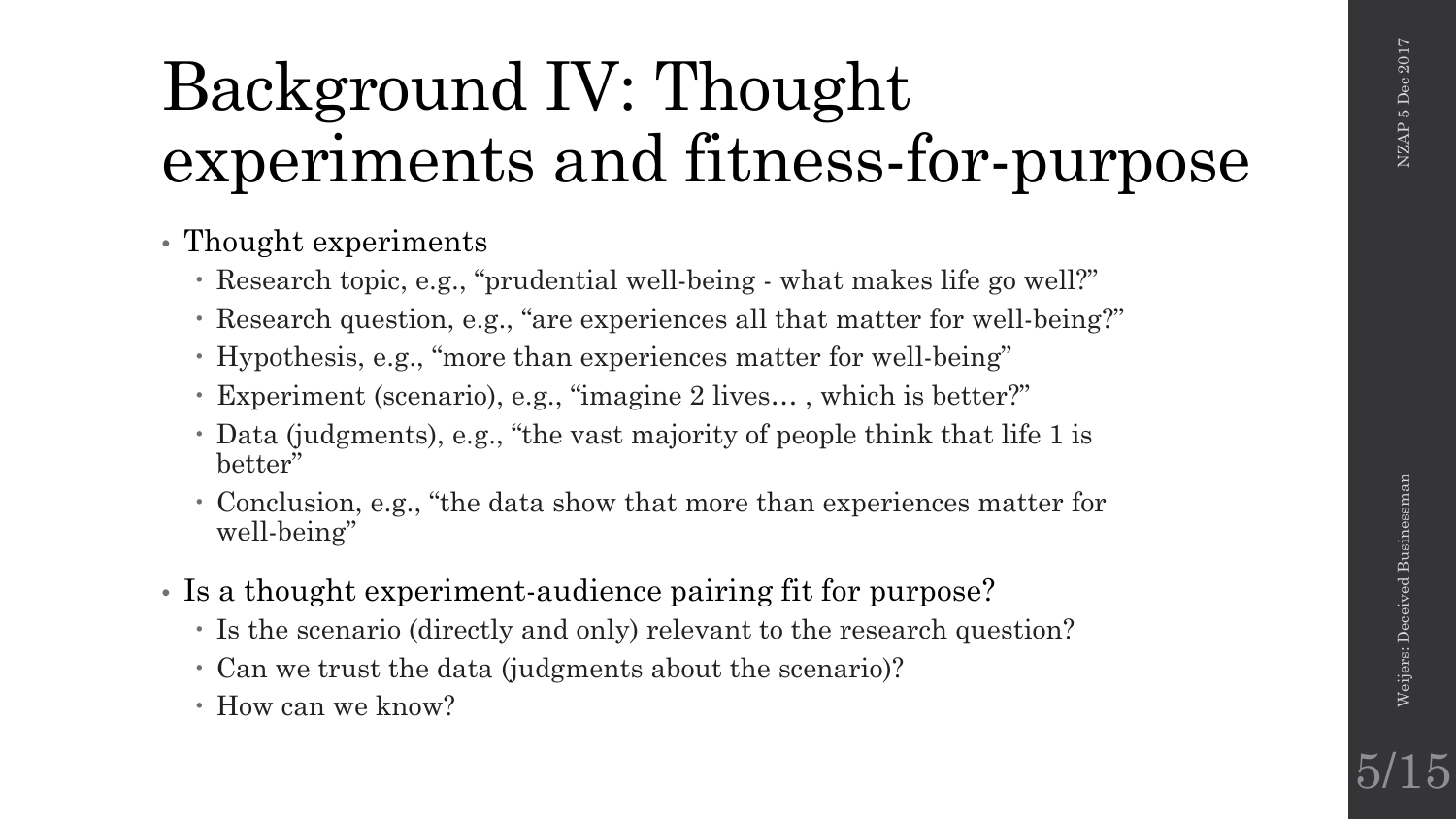### Background IV: Thought experiments and fitness-for-purpose

• Thought experiments

- Research topic, e.g., "prudential well-being what makes life go well?"
- Research question, e.g., "are experiences all that matter for well-being?"
- Hypothesis, e.g., "more than experiences matter for well-being"
- Experiment (scenario), e.g., "imagine 2 lives… , which is better?"
- Data (judgments), e.g., "the vast majority of people think that life 1 is better"
- Conclusion, e.g., "the data show that more than experiences matter for well-being"
- Is a thought experiment-audience pairing fit for purpose?
	- Is the scenario (directly and only) relevant to the research question?
	- Can we trust the data (judgments about the scenario)?
	- How can we know?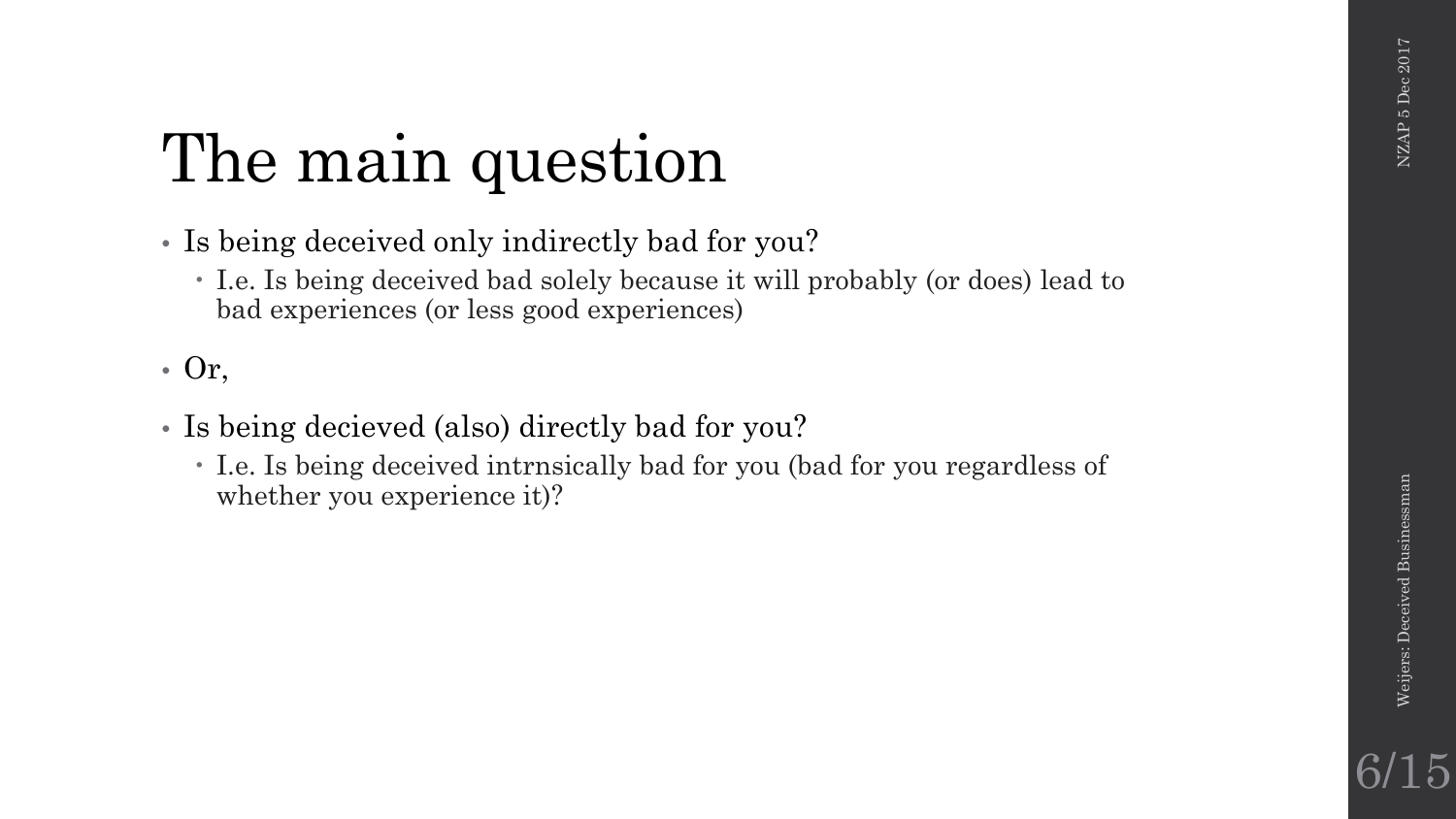### The main question

- Is being deceived only indirectly bad for you?
	- I.e. Is being deceived bad solely because it will probably (or does) lead to bad experiences (or less good experiences)

• Or,

- Is being decieved (also) directly bad for you?
	- I.e. Is being deceived intrnsically bad for you (bad for you regardless of whether you experience it)?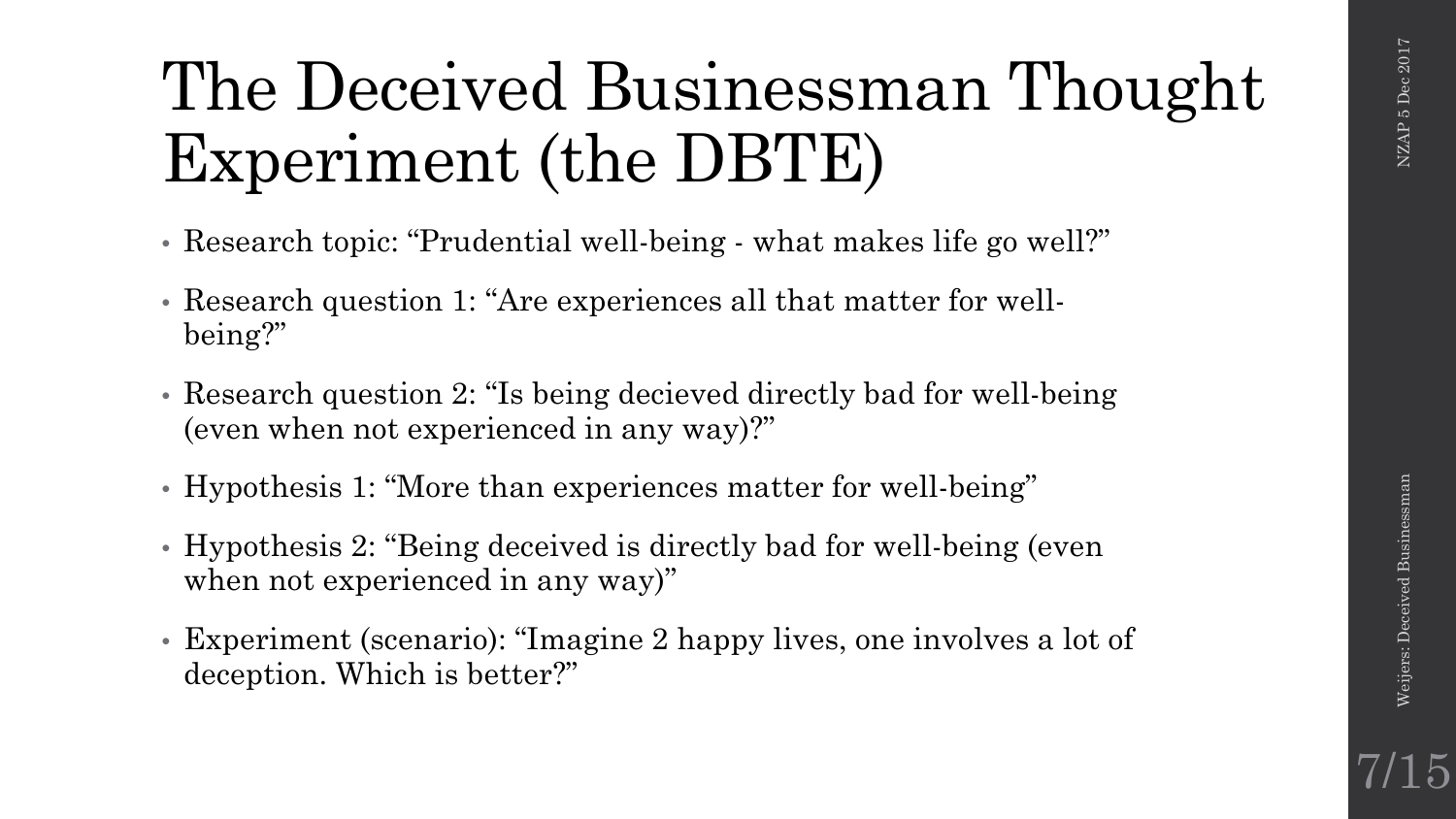7/15

### The Deceived Businessman Thought Experiment (the DBTE)

- Research topic: "Prudential well-being what makes life go well?"
- Research question 1: "Are experiences all that matter for wellbeing?"
- Research question 2: "Is being decieved directly bad for well-being (even when not experienced in any way)?"
- Hypothesis 1: "More than experiences matter for well-being"
- Hypothesis 2: "Being deceived is directly bad for well-being (even when not experienced in any way)"
- Experiment (scenario): "Imagine 2 happy lives, one involves a lot of deception. Which is better?"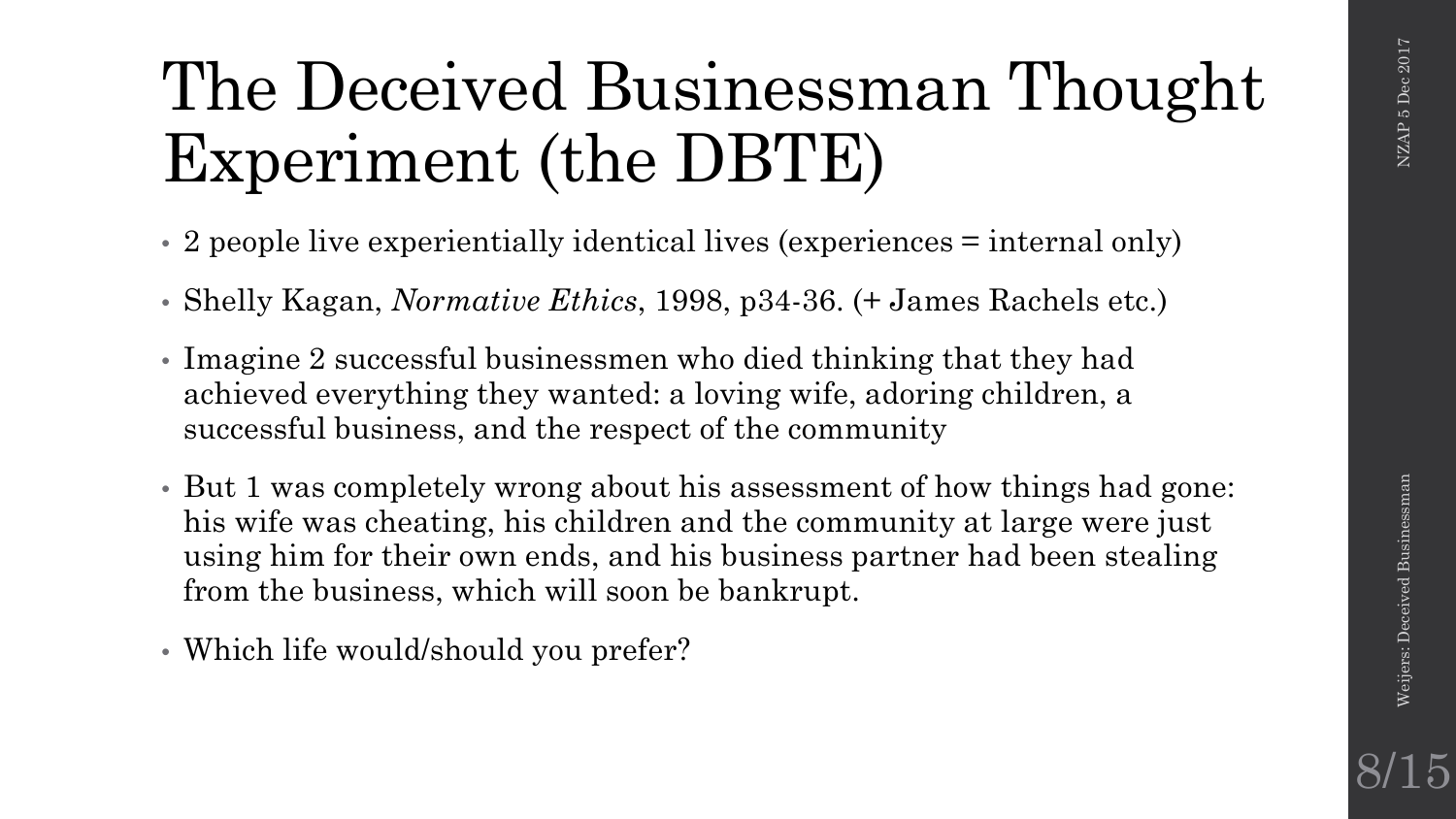### The Deceived Businessman Thought Experiment (the DBTE)

- 2 people live experientially identical lives (experiences = internal only)
- Shelly Kagan, *Normative Ethics*, 1998, p34-36. (+ James Rachels etc.)
- Imagine 2 successful businessmen who died thinking that they had achieved everything they wanted: a loving wife, adoring children, a successful business, and the respect of the community
- But 1 was completely wrong about his assessment of how things had gone: his wife was cheating, his children and the community at large were just using him for their own ends, and his business partner had been stealing from the business, which will soon be bankrupt.
- Which life would/should you prefer?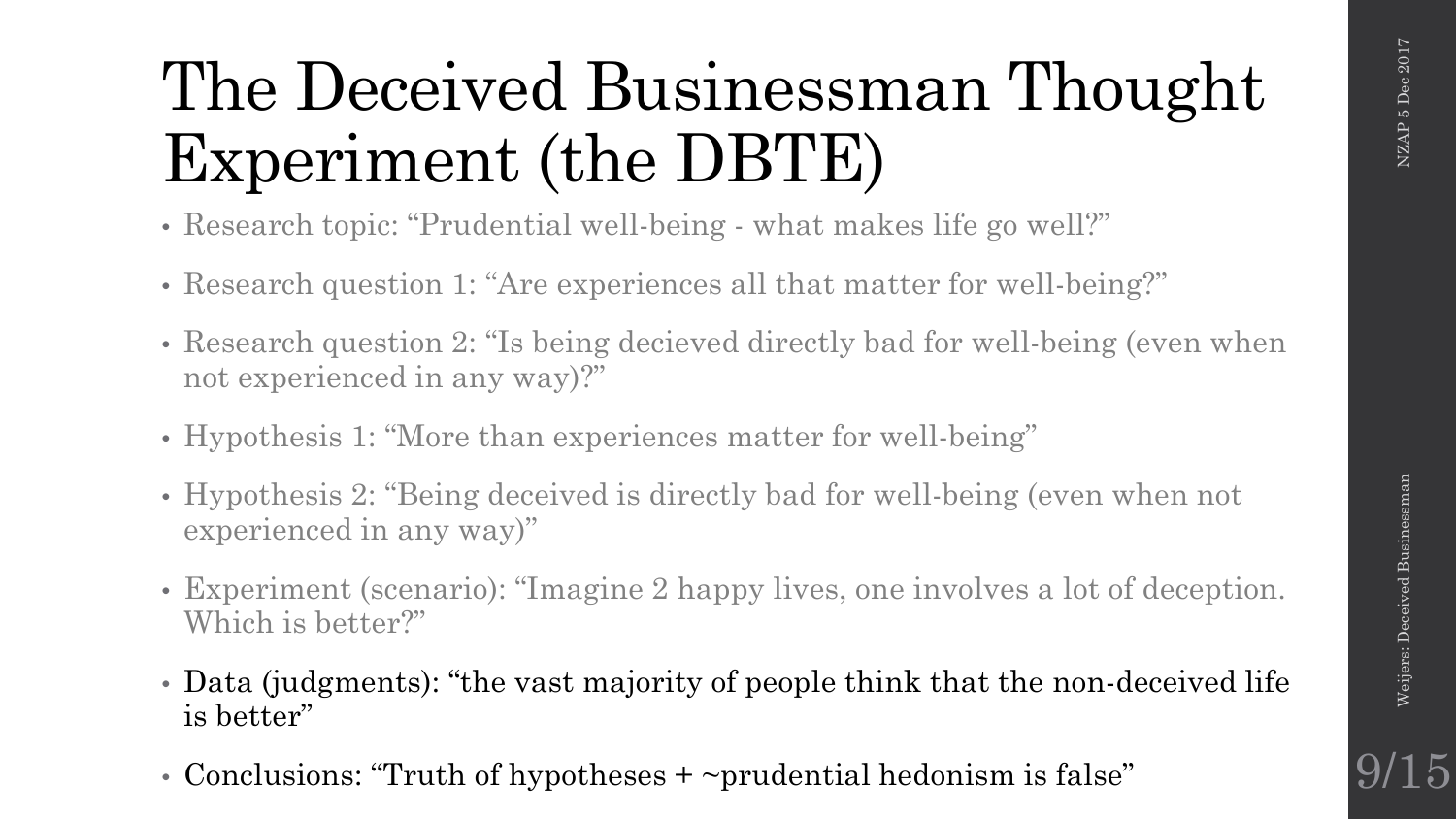### The Deceived Businessman Thought Experiment (the DBTE)

- Research topic: "Prudential well-being what makes life go well?"
- Research question 1: "Are experiences all that matter for well-being?"
- Research question 2: "Is being decieved directly bad for well-being (even when not experienced in any way)?"
- Hypothesis 1: "More than experiences matter for well-being"
- Hypothesis 2: "Being deceived is directly bad for well-being (even when not experienced in any way)"
- Experiment (scenario): "Imagine 2 happy lives, one involves a lot of deception. Which is better?"
- Data (judgments): "the vast majority of people think that the non-deceived life is better"
- Conclusions: "Truth of hypotheses + ~prudential hedonism is false"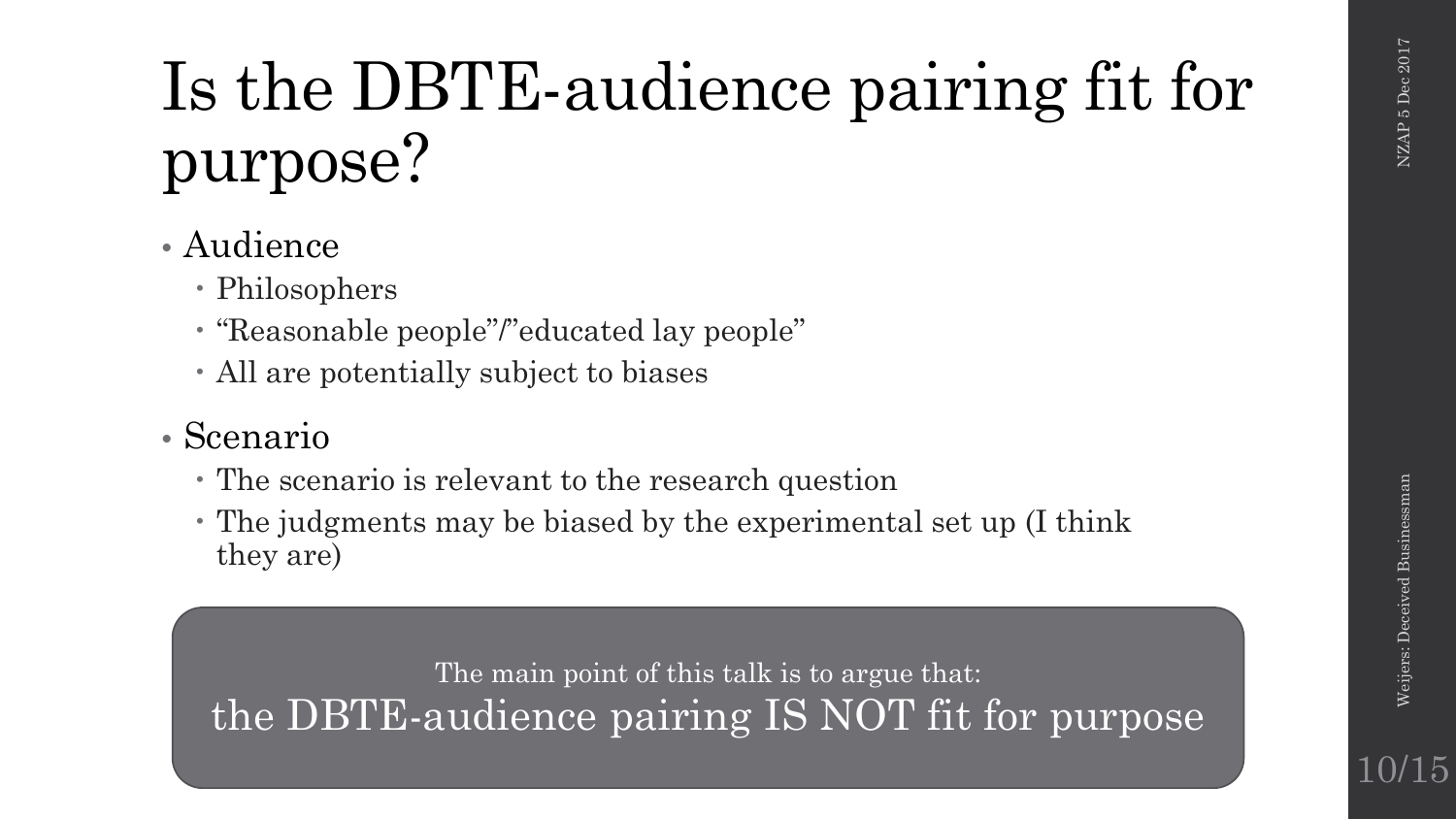### Is the DBTE-audience pairing fit for purpose?

### • Audience

- Philosophers
- "Reasonable people"/"educated lay people"
- All are potentially subject to biases

### • Scenario

- The scenario is relevant to the research question
- The judgments may be biased by the experimental set up (I think they are)

The main point of this talk is to argue that: the DBTE-audience pairing IS NOT fit for purpose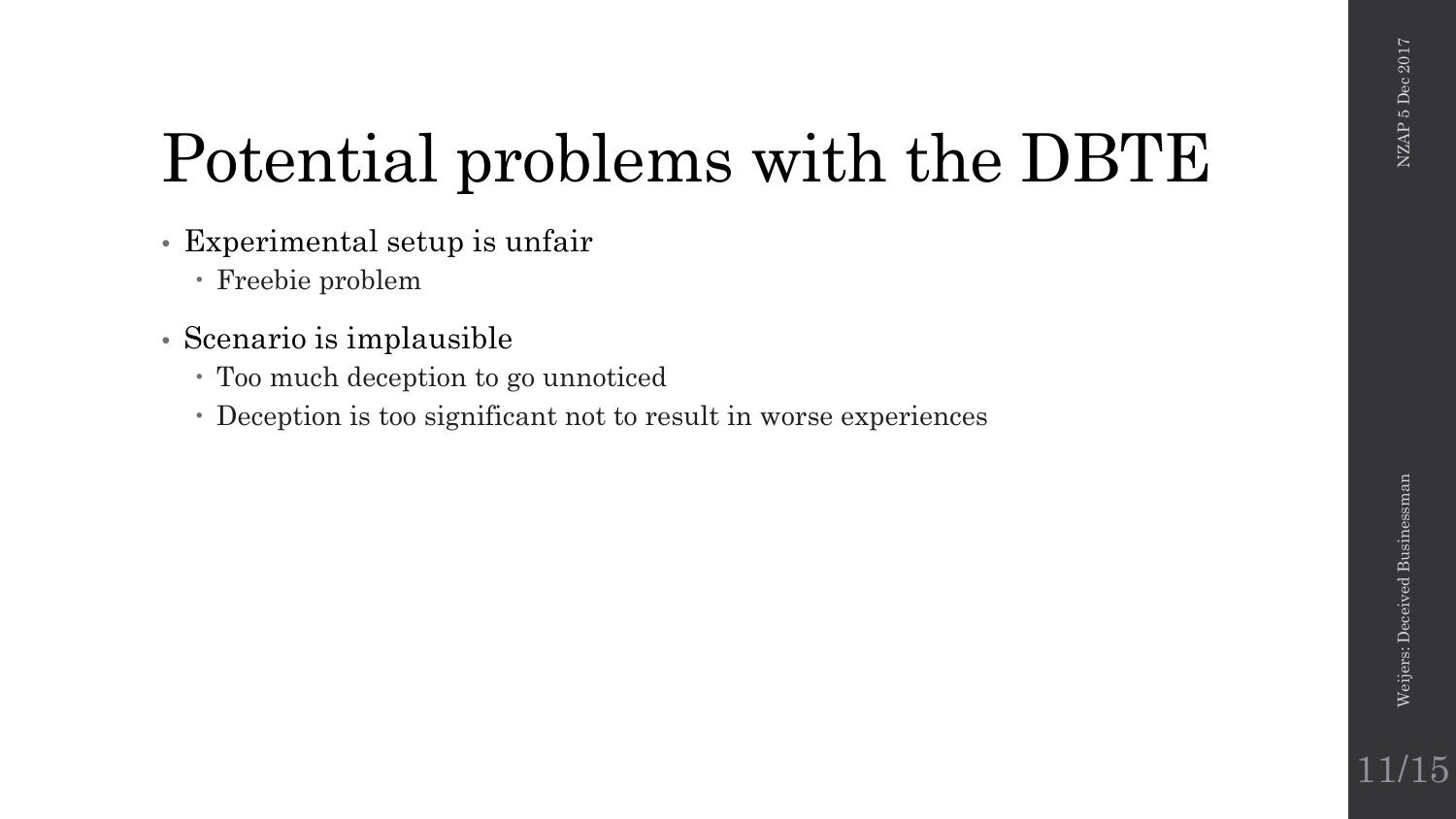### Potential problems with the DBTE

- Experimental setup is unfair
	- Freebie problem
- Scenario is implausible
	- Too much deception to go unnoticed
	- Deception is too significant not to result in worse experiences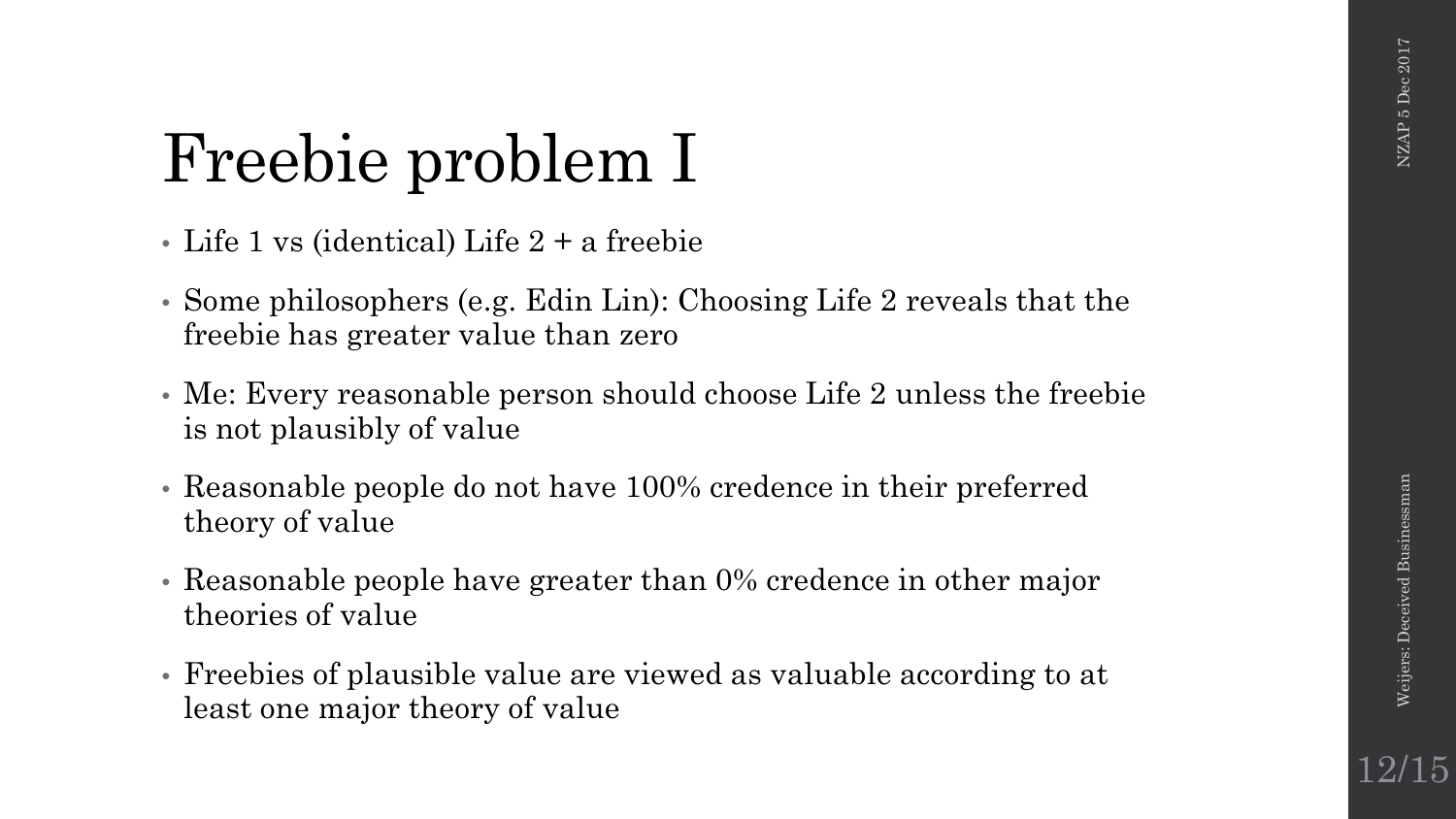12/15

### Freebie problem I

- Life 1 vs (identical) Life 2 + a freebie
- Some philosophers (e.g. Edin Lin): Choosing Life 2 reveals that the freebie has greater value than zero
- Me: Every reasonable person should choose Life 2 unless the freebie is not plausibly of value
- Reasonable people do not have 100% credence in their preferred theory of value
- Reasonable people have greater than 0% credence in other major theories of value
- Freebies of plausible value are viewed as valuable according to at least one major theory of value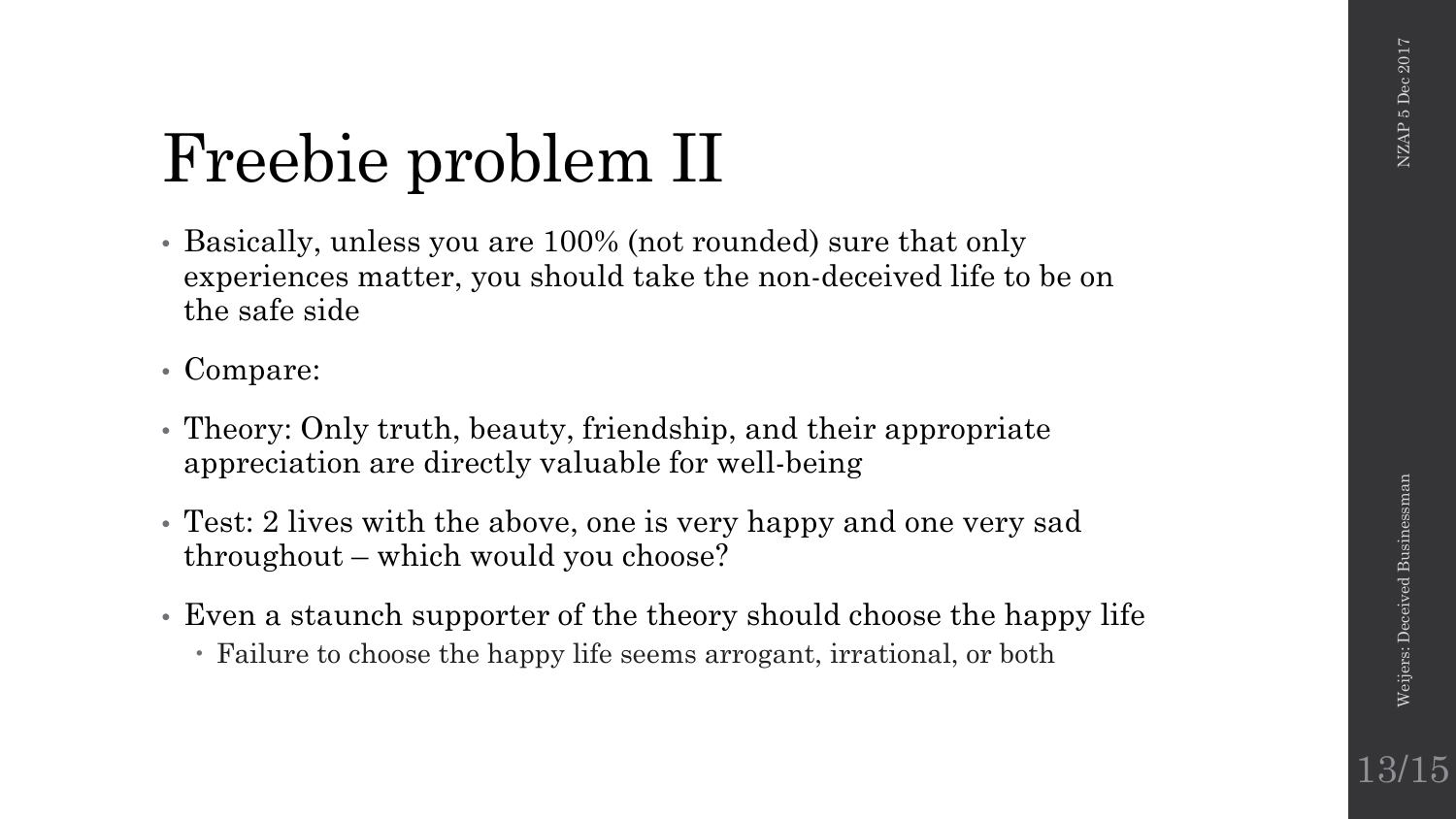13/15

### Freebie problem II

- Basically, unless you are 100% (not rounded) sure that only experiences matter, you should take the non-deceived life to be on the safe side
- Compare:
- Theory: Only truth, beauty, friendship, and their appropriate appreciation are directly valuable for well-being
- Test: 2 lives with the above, one is very happy and one very sad throughout – which would you choose?
- Even a staunch supporter of the theory should choose the happy life
	- Failure to choose the happy life seems arrogant, irrational, or both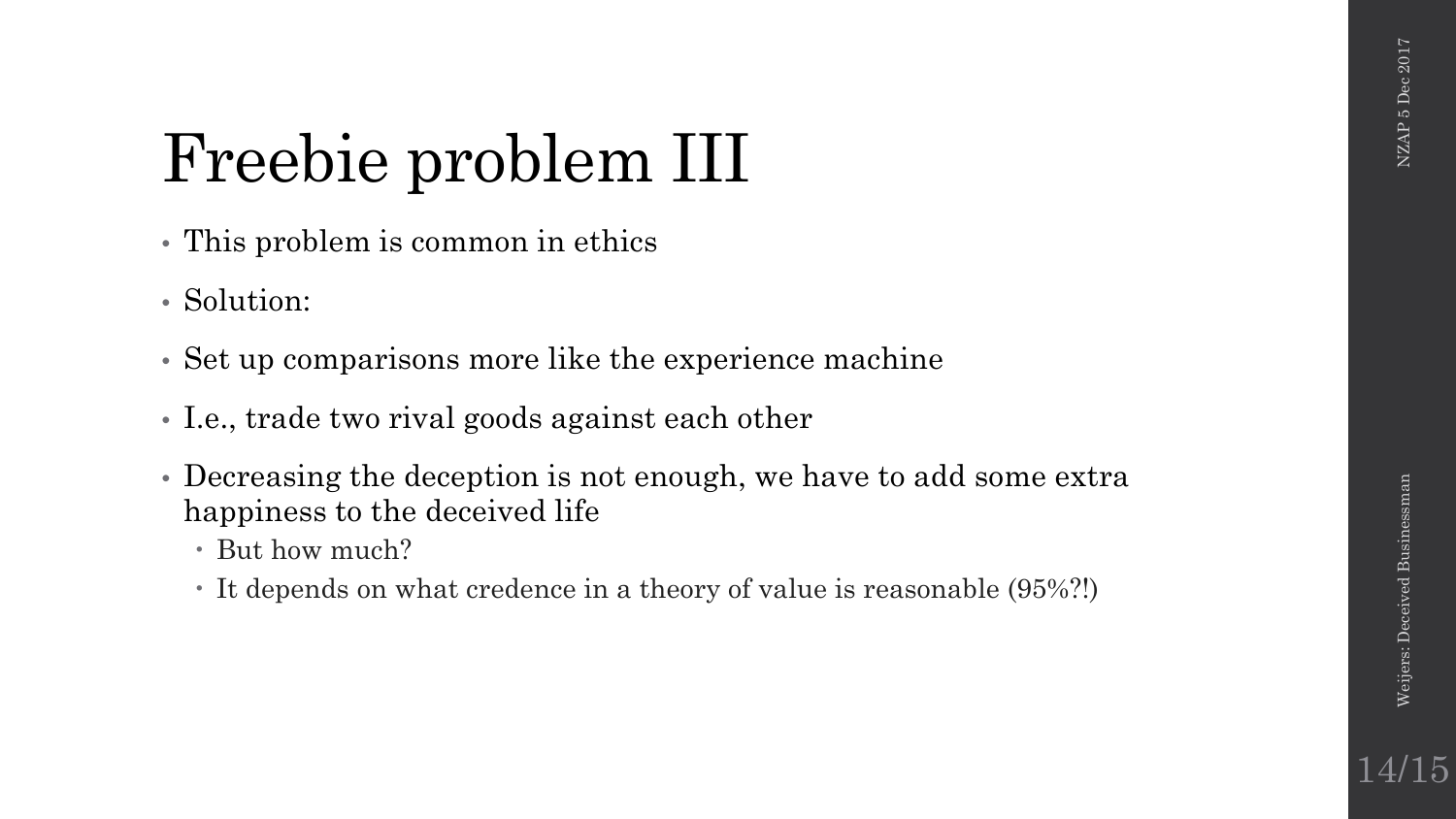14/15

## Freebie problem III

- This problem is common in ethics
- Solution:
- Set up comparisons more like the experience machine
- I.e., trade two rival goods against each other
- Decreasing the deception is not enough, we have to add some extra happiness to the deceived life
	- But how much?
	- It depends on what credence in a theory of value is reasonable (95%?!)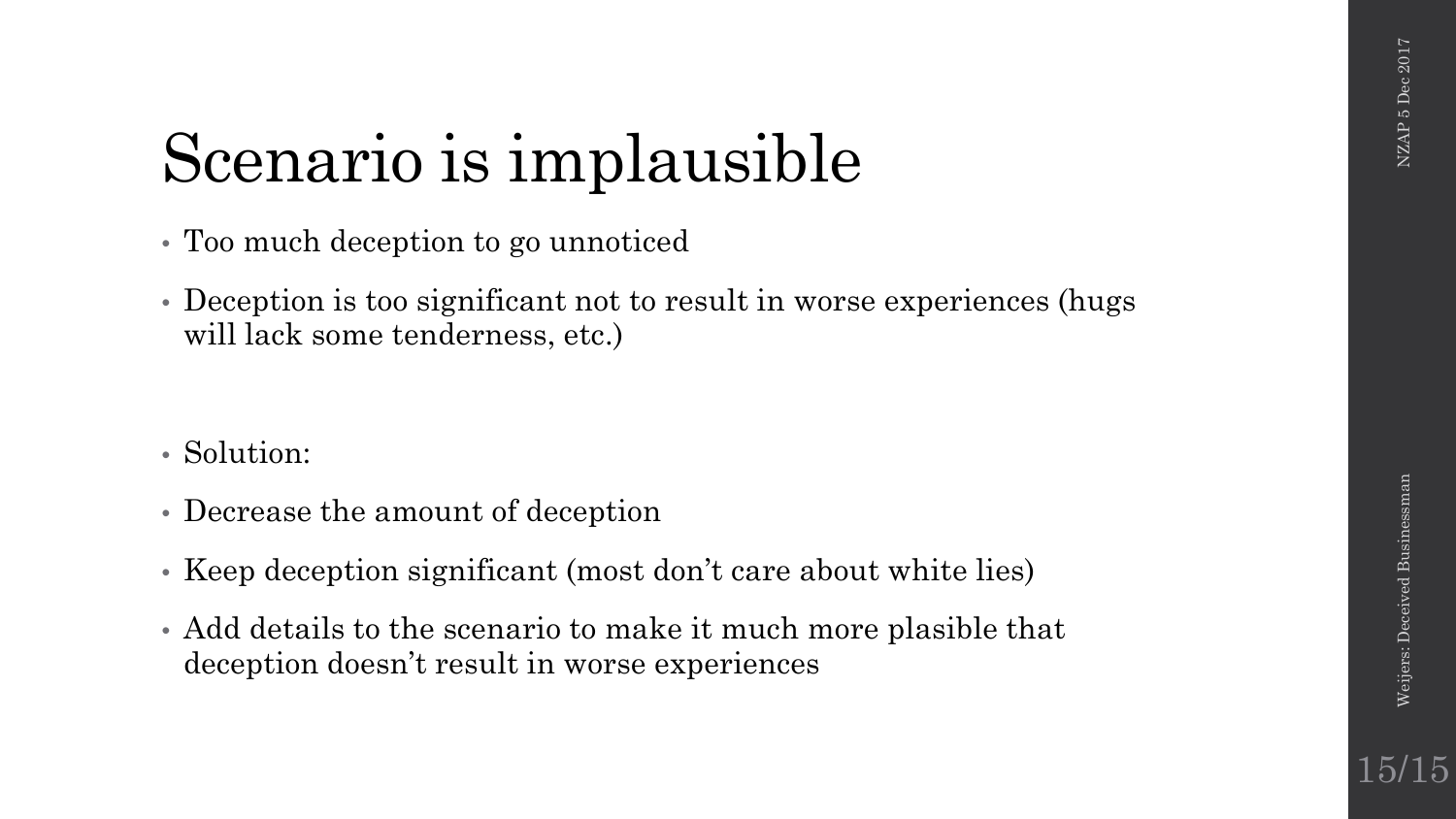### Scenario is implausible

- Too much deception to go unnoticed
- Deception is too significant not to result in worse experiences (hugs will lack some tenderness, etc.)
- Solution:
- Decrease the amount of deception
- Keep deception significant (most don't care about white lies)
- Add details to the scenario to make it much more plasible that deception doesn't result in worse experiences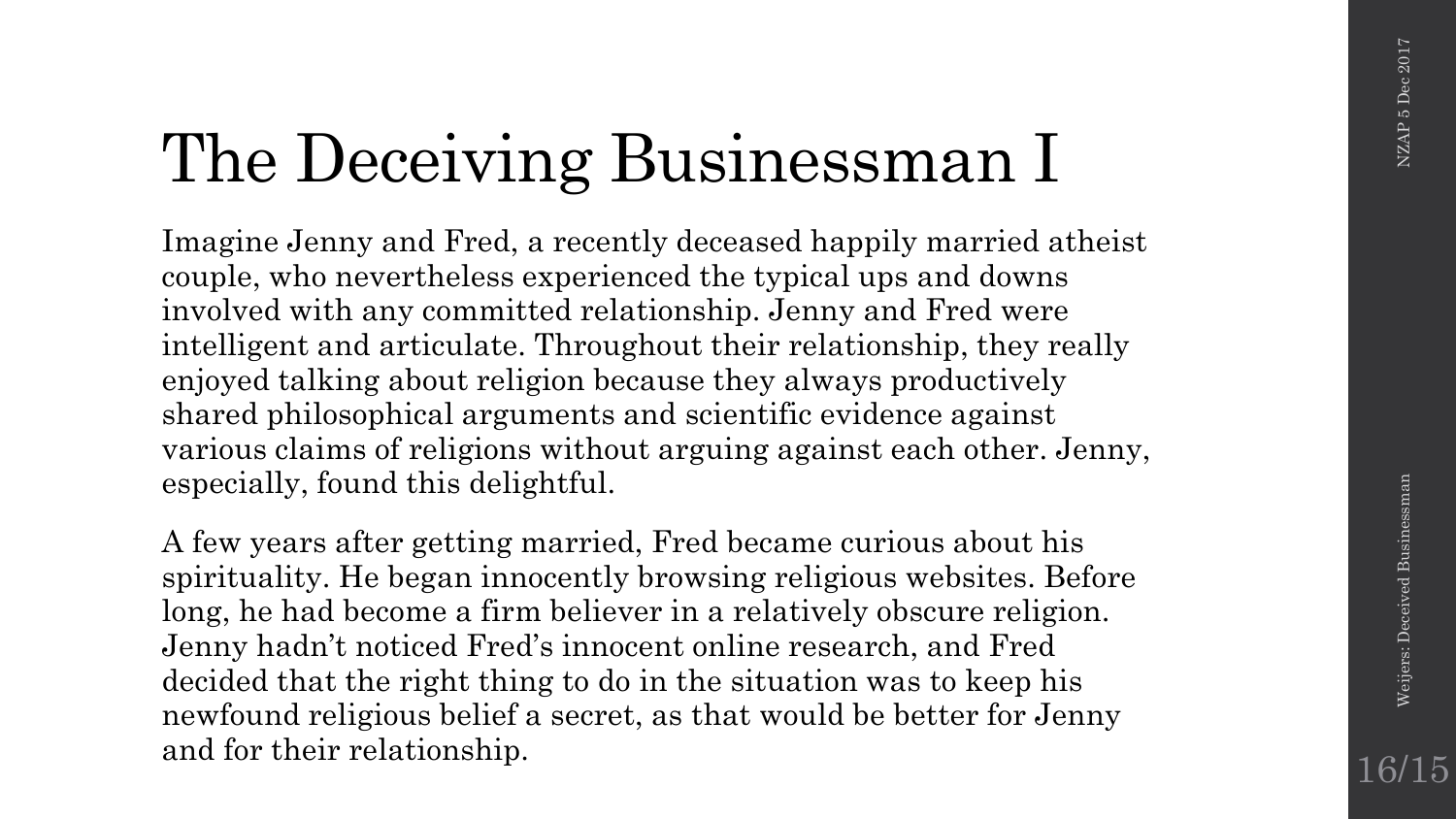## The Deceiving Businessman I

Imagine Jenny and Fred, a recently deceased happily married atheist couple, who nevertheless experienced the typical ups and downs involved with any committed relationship. Jenny and Fred were intelligent and articulate. Throughout their relationship, they really enjoyed talking about religion because they always productively shared philosophical arguments and scientific evidence against various claims of religions without arguing against each other. Jenny, especially, found this delightful.

A few years after getting married, Fred became curious about his spirituality. He began innocently browsing religious websites. Before long, he had become a firm believer in a relatively obscure religion. Jenny hadn't noticed Fred's innocent online research, and Fred decided that the right thing to do in the situation was to keep his newfound religious belief a secret, as that would be better for Jenny and for their relationship.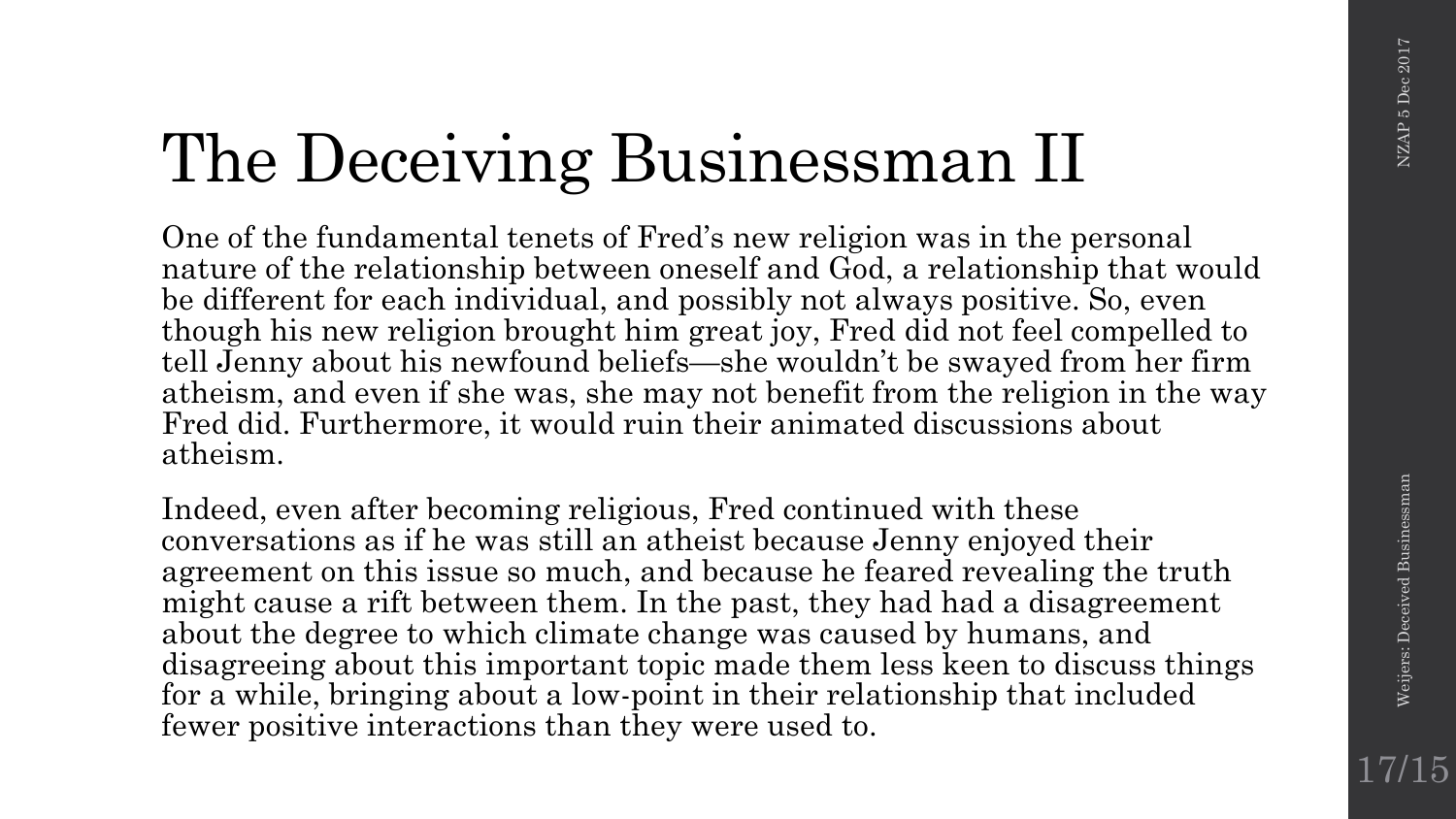## The Deceiving Businessman II

One of the fundamental tenets of Fred's new religion was in the personal nature of the relationship between oneself and God, a relationship that would be different for each individual, and possibly not always positive. So, even though his new religion brought him great joy, Fred did not feel compelled to tell Jenny about his newfound beliefs—she wouldn't be swayed from her firm atheism, and even if she was, she may not benefit from the religion in the way Fred did. Furthermore, it would ruin their animated discussions about atheism.

Indeed, even after becoming religious, Fred continued with these conversations as if he was still an atheist because Jenny enjoyed their agreement on this issue so much, and because he feared revealing the truth might cause a rift between them. In the past, they had had a disagreement about the degree to which climate change was caused by humans, and disagreeing about this important topic made them less keen to discuss things for a while, bringing about a low-point in their relationship that included fewer positive interactions than they were used to.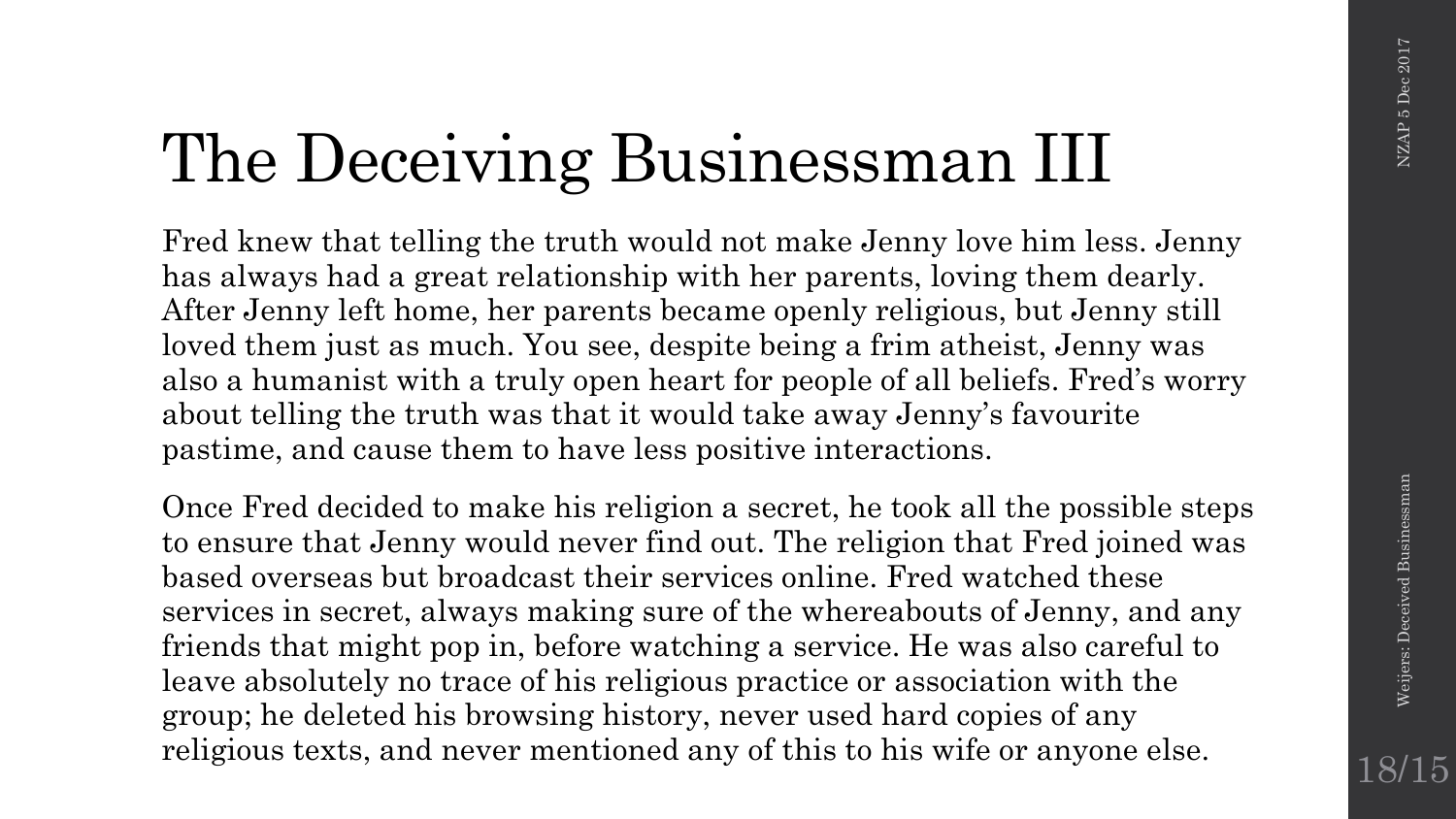## The Deceiving Businessman III

Fred knew that telling the truth would not make Jenny love him less. Jenny has always had a great relationship with her parents, loving them dearly. After Jenny left home, her parents became openly religious, but Jenny still loved them just as much. You see, despite being a frim atheist, Jenny was also a humanist with a truly open heart for people of all beliefs. Fred's worry about telling the truth was that it would take away Jenny's favourite pastime, and cause them to have less positive interactions.

Once Fred decided to make his religion a secret, he took all the possible steps to ensure that Jenny would never find out. The religion that Fred joined was based overseas but broadcast their services online. Fred watched these services in secret, always making sure of the whereabouts of Jenny, and any friends that might pop in, before watching a service. He was also careful to leave absolutely no trace of his religious practice or association with the group; he deleted his browsing history, never used hard copies of any religious texts, and never mentioned any of this to his wife or anyone else.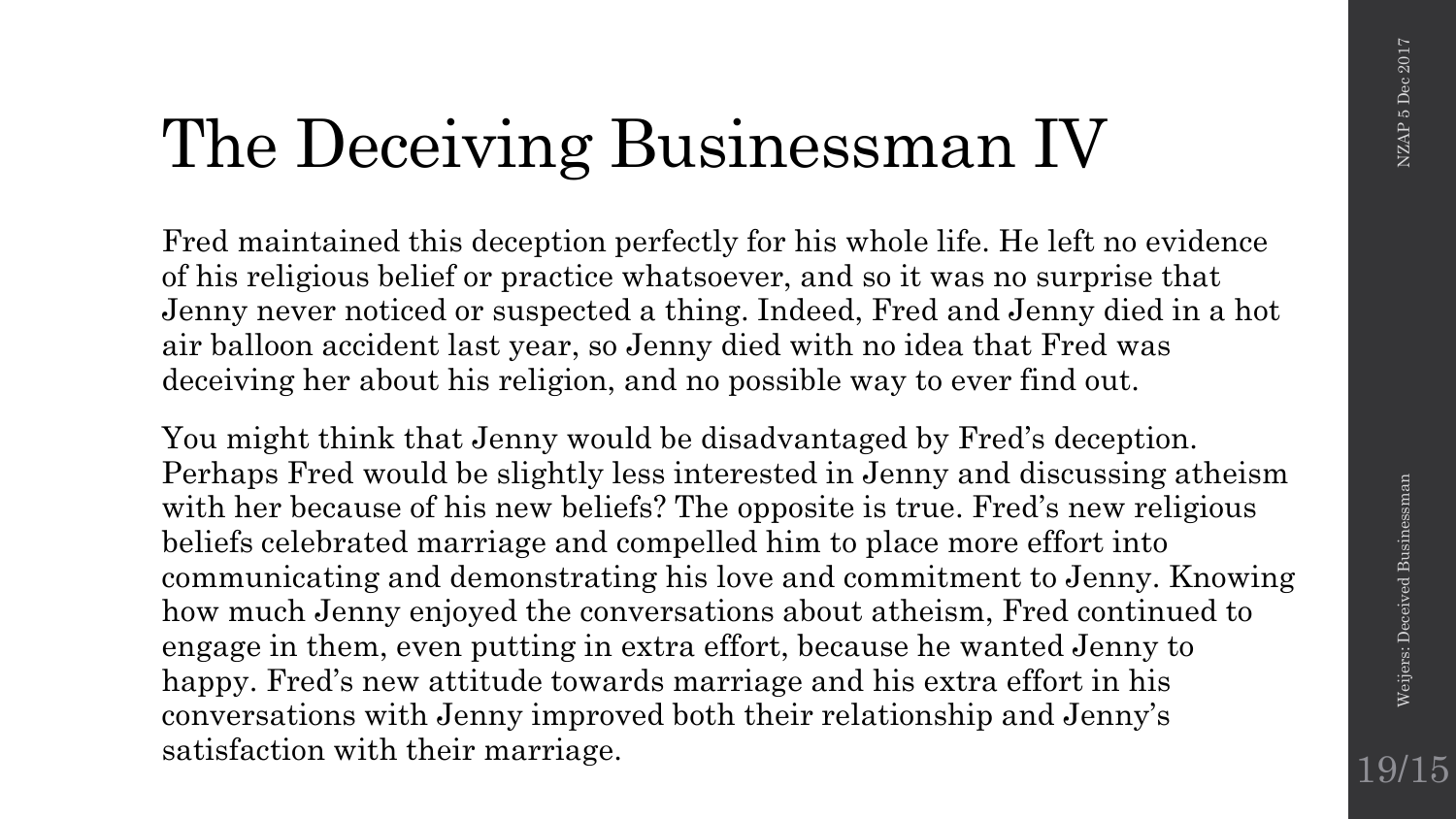## The Deceiving Businessman IV

Fred maintained this deception perfectly for his whole life. He left no evidence of his religious belief or practice whatsoever, and so it was no surprise that Jenny never noticed or suspected a thing. Indeed, Fred and Jenny died in a hot air balloon accident last year, so Jenny died with no idea that Fred was deceiving her about his religion, and no possible way to ever find out.

You might think that Jenny would be disadvantaged by Fred's deception. Perhaps Fred would be slightly less interested in Jenny and discussing atheism with her because of his new beliefs? The opposite is true. Fred's new religious beliefs celebrated marriage and compelled him to place more effort into communicating and demonstrating his love and commitment to Jenny. Knowing how much Jenny enjoyed the conversations about atheism, Fred continued to engage in them, even putting in extra effort, because he wanted Jenny to happy. Fred's new attitude towards marriage and his extra effort in his conversations with Jenny improved both their relationship and Jenny's satisfaction with their marriage.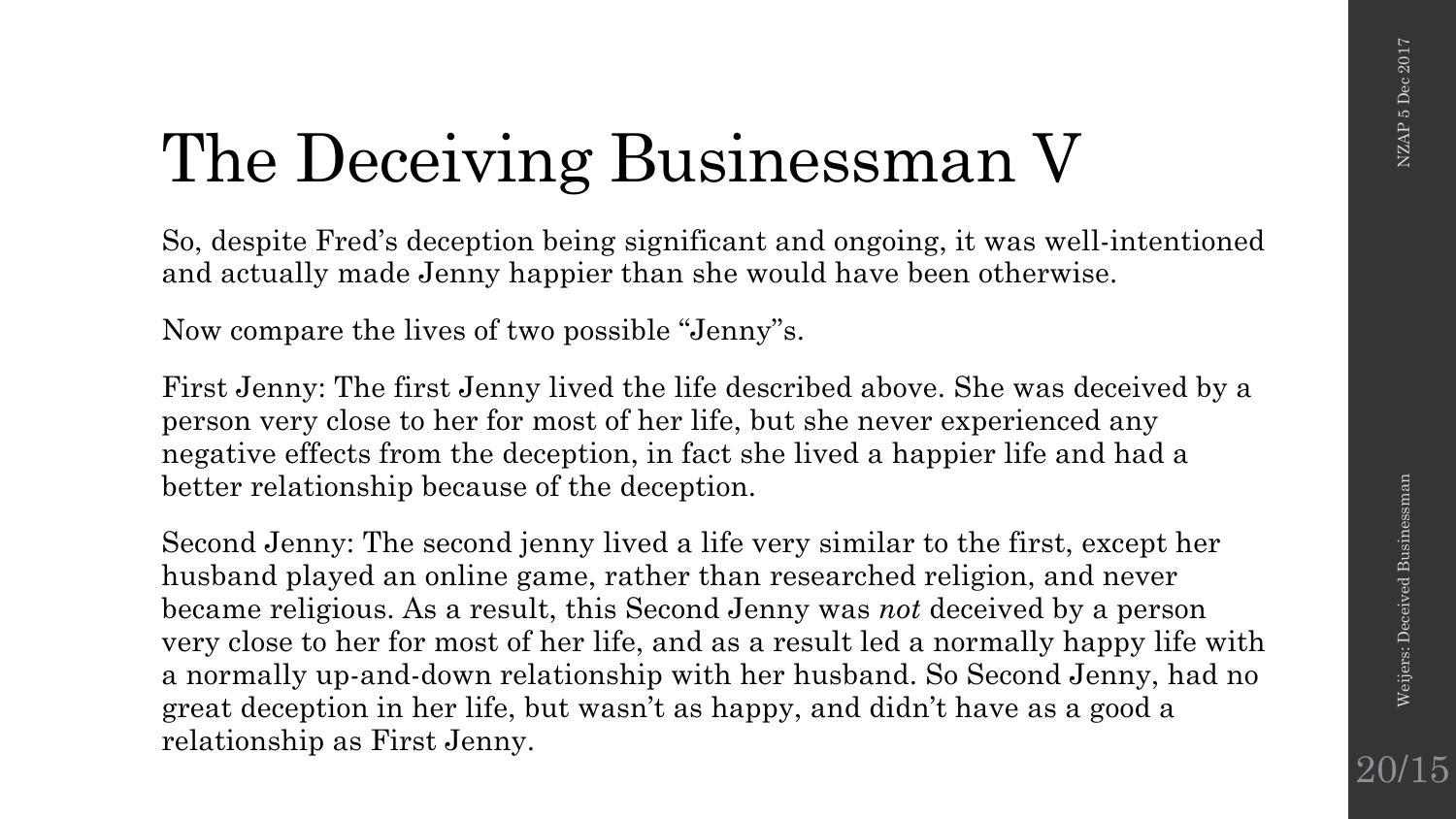## The Deceiving Businessman V

So, despite Fred's deception being significant and ongoing, it was well-intentioned and actually made Jenny happier than she would have been otherwise.

Now compare the lives of two possible "Jenny"s.

First Jenny: The first Jenny lived the life described above. She was deceived by a person very close to her for most of her life, but she never experienced any negative effects from the deception, in fact she lived a happier life and had a better relationship because of the deception.

Second Jenny: The second jenny lived a life very similar to the first, except her husband played an online game, rather than researched religion, and never became religious. As a result, this Second Jenny was *not* deceived by a person very close to her for most of her life, and as a result led a normally happy life with a normally up-and-down relationship with her husband. So Second Jenny, had no great deception in her life, but wasn't as happy, and didn't have as a good a relationship as First Jenny.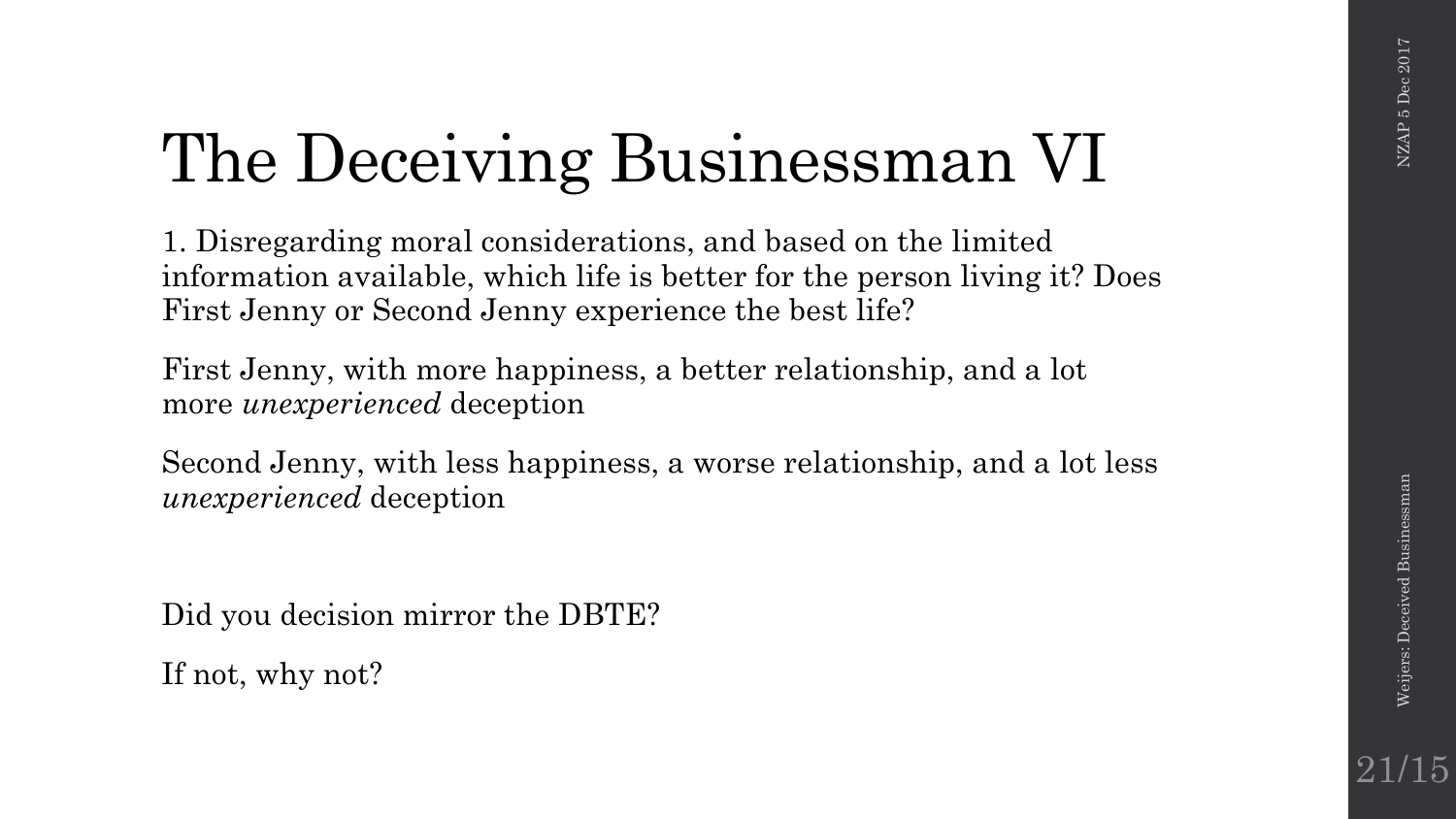## The Deceiving Businessman VI

1. Disregarding moral considerations, and based on the limited information available, which life is better for the person living it? Does First Jenny or Second Jenny experience the best life?

First Jenny, with more happiness, a better relationship, and a lot more *unexperienced* deception

Second Jenny, with less happiness, a worse relationship, and a lot less *unexperienced* deception

Did you decision mirror the DBTE?

If not, why not?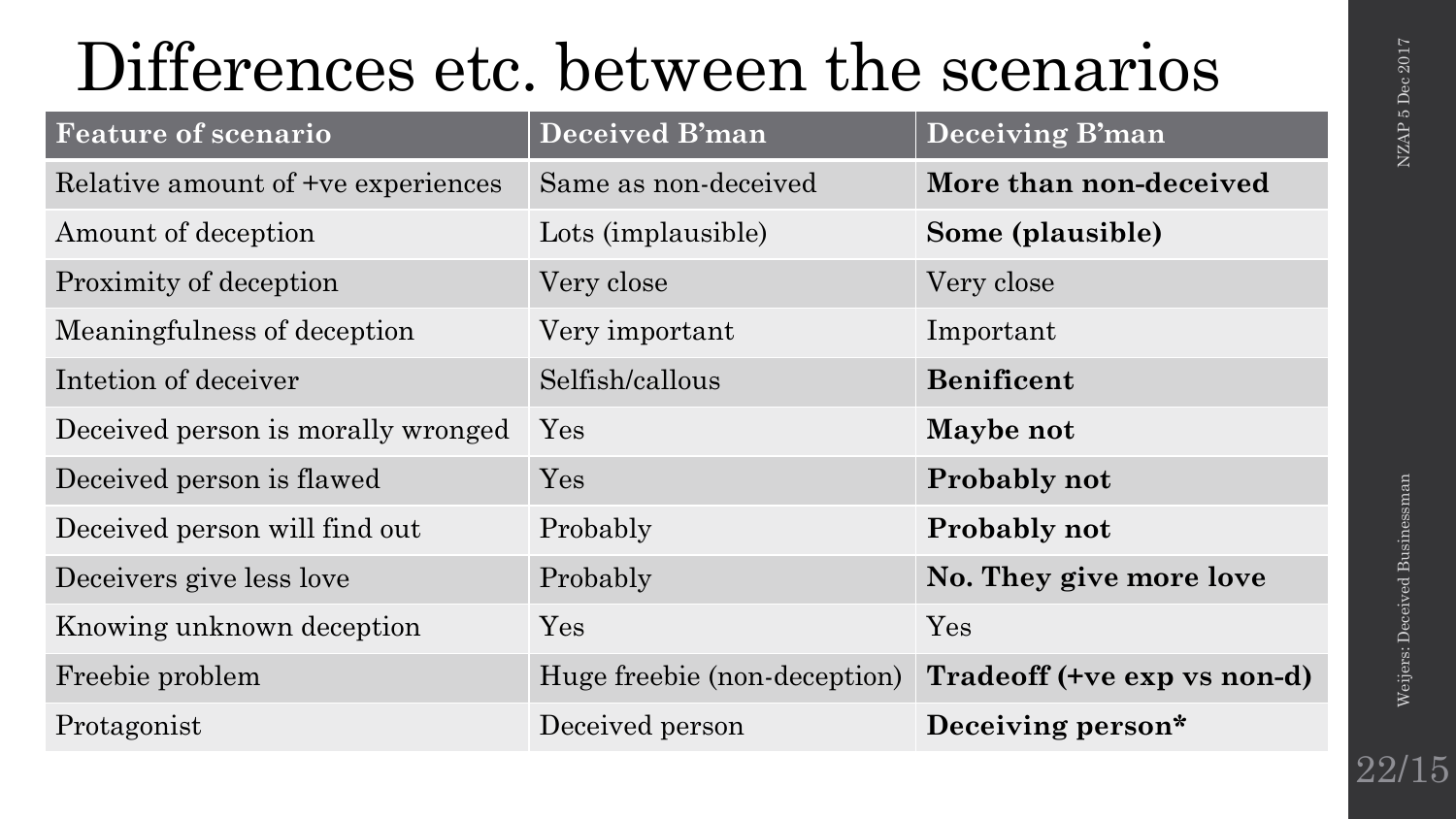### Differences etc. between the scenarios

| <b>Feature of scenario</b>         | <b>Deceived B'man</b>        | <b>Deceiving B'man</b>      |
|------------------------------------|------------------------------|-----------------------------|
| Relative amount of +ve experiences | Same as non-deceived         | More than non-deceived      |
| Amount of deception                | Lots (implausible)           | Some (plausible)            |
| Proximity of deception             | Very close                   | Very close                  |
| Meaningfulness of deception        | Very important               | Important                   |
| Intetion of deceiver               | Selfish/callous              | <b>Benificent</b>           |
| Deceived person is morally wronged | Yes                          | Maybe not                   |
| Deceived person is flawed          | Yes                          | <b>Probably not</b>         |
| Deceived person will find out      | Probably                     | <b>Probably not</b>         |
| Deceivers give less love           | Probably                     | No. They give more love     |
| Knowing unknown deception          | Yes                          | Yes                         |
| Freebie problem                    | Huge freebie (non-deception) | Tradeoff (+ve exp vs non-d) |
| Protagonist                        | Deceived person              | Deceiving person*           |

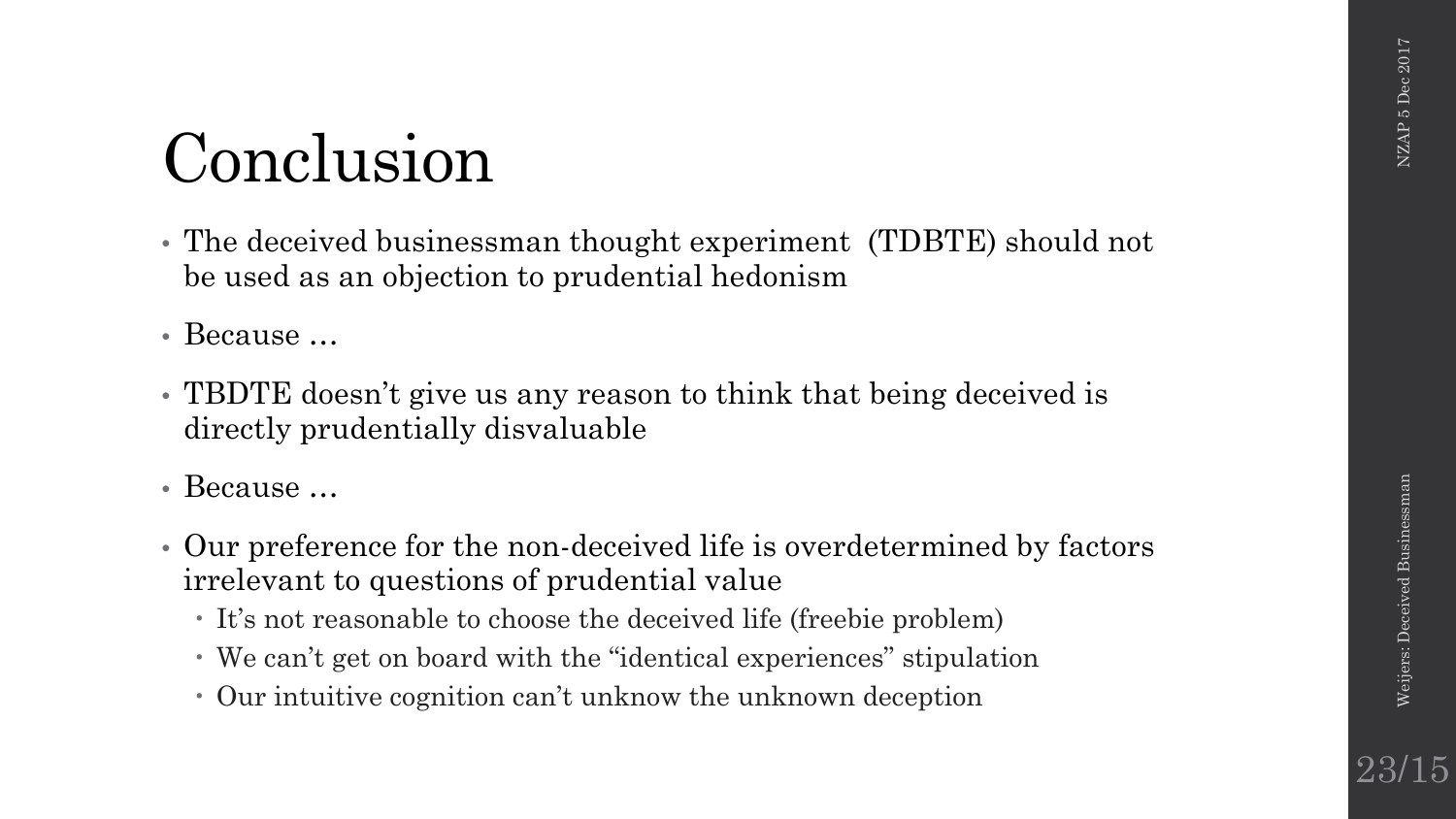### Conclusion

- The deceived businessman thought experiment (TDBTE) should not be used as an objection to prudential hedonism
- Because ...
- TBDTE doesn't give us any reason to think that being deceived is directly prudentially disvaluable
- Because …
- Our preference for the non-deceived life is overdetermined by factors irrelevant to questions of prudential value
	- It's not reasonable to choose the deceived life (freebie problem)
	- We can't get on board with the "identical experiences" stipulation
	- Our intuitive cognition can't unknow the unknown deception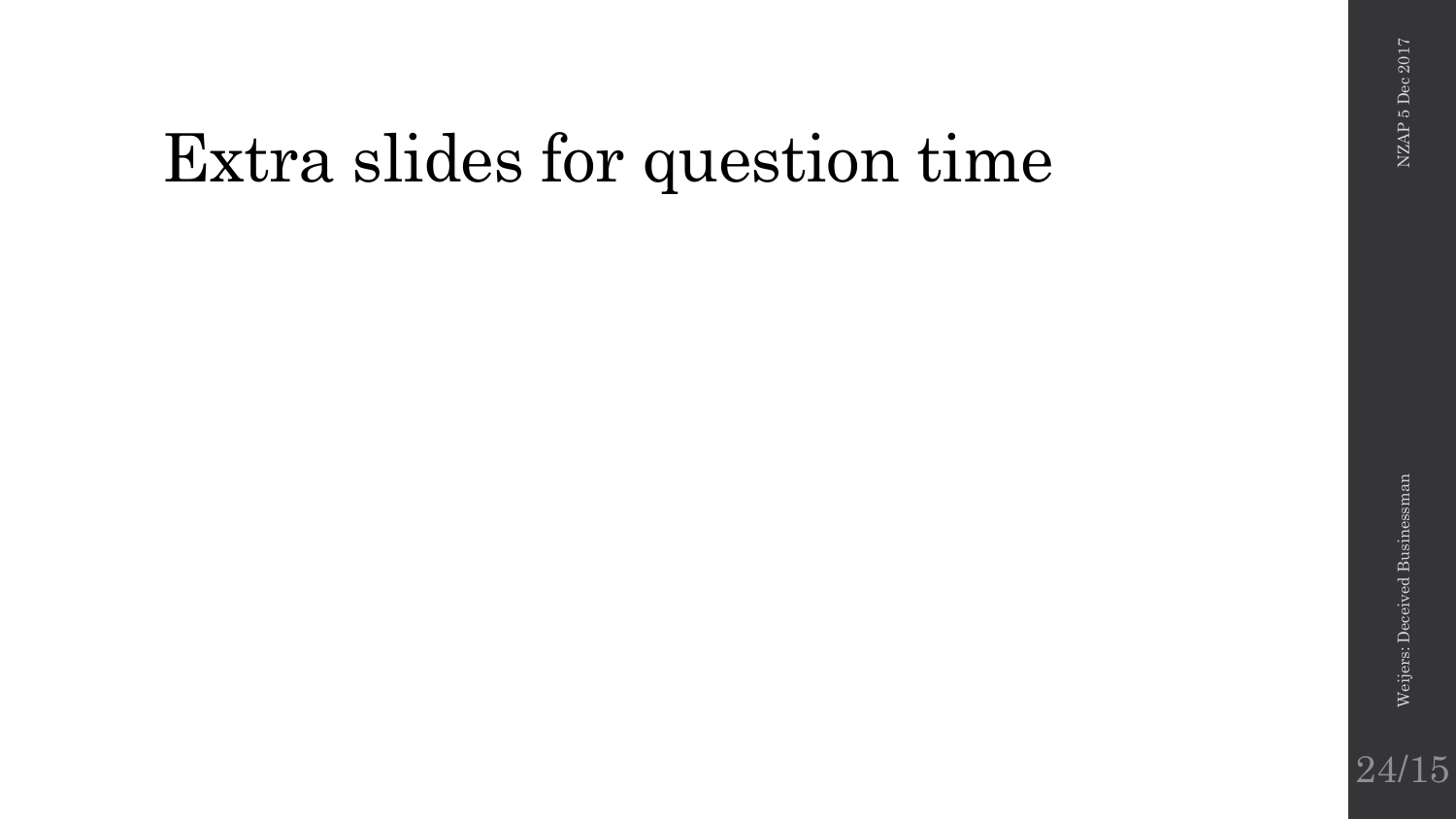### Extra slides for question time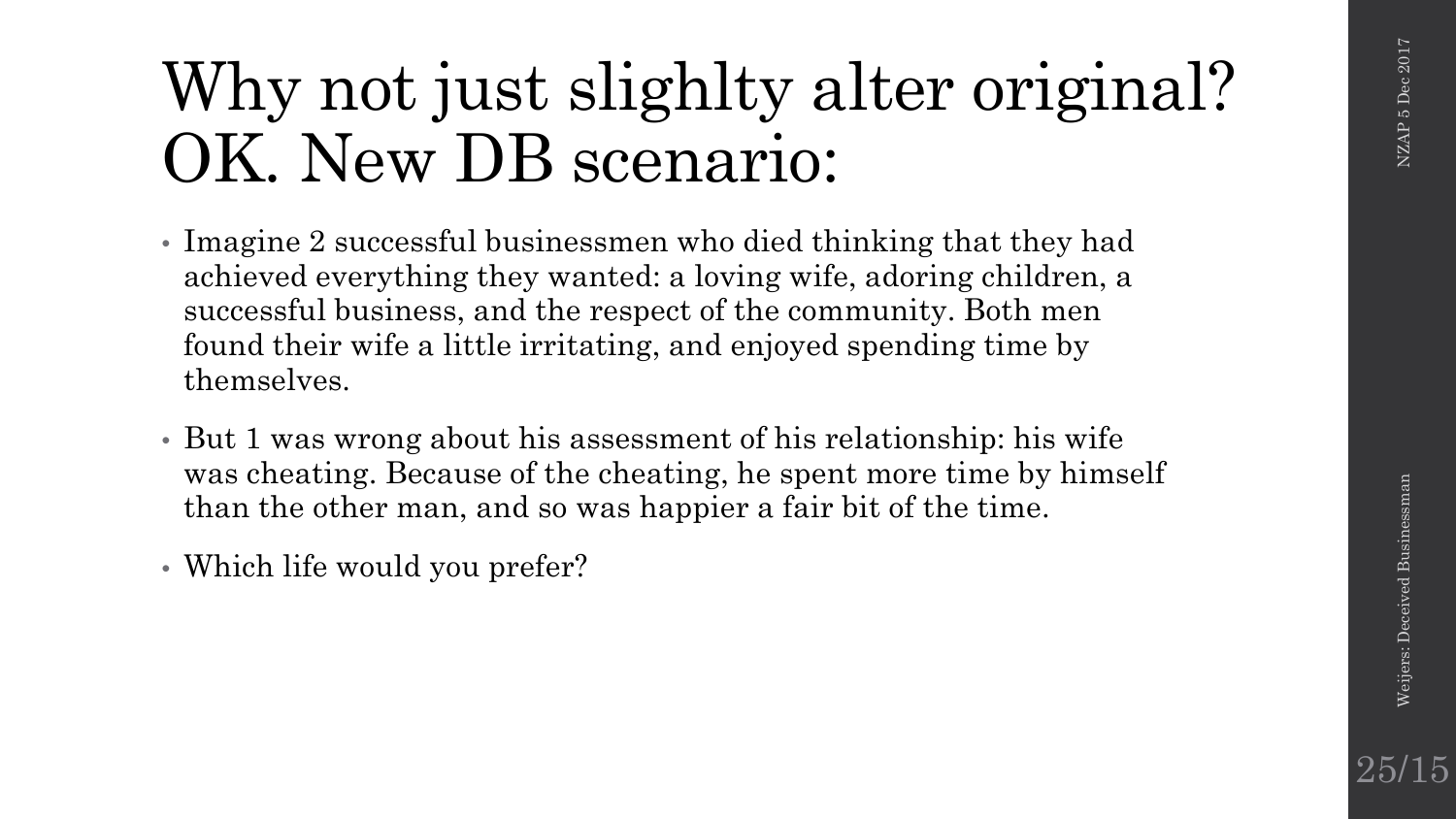25/15

### Why not just slighlty alter original? OK. New DB scenario:

- Imagine 2 successful businessmen who died thinking that they had achieved everything they wanted: a loving wife, adoring children, a successful business, and the respect of the community. Both men found their wife a little irritating, and enjoyed spending time by themselves.
- But 1 was wrong about his assessment of his relationship: his wife was cheating. Because of the cheating, he spent more time by himself than the other man, and so was happier a fair bit of the time.
- Which life would you prefer?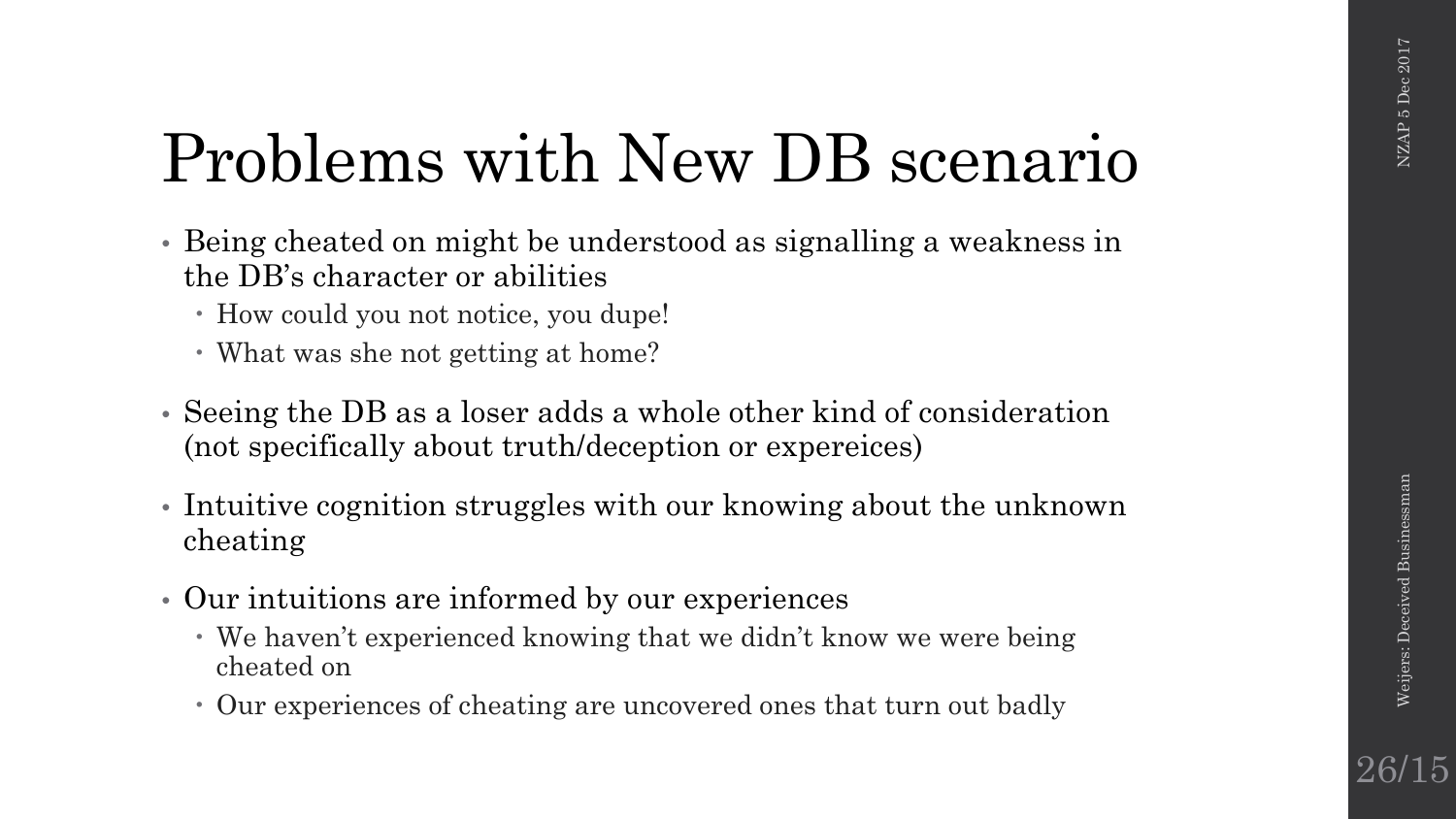### Problems with New DB scenario

- Being cheated on might be understood as signalling a weakness in the DB's character or abilities
	- How could you not notice, you dupe!
	- What was she not getting at home?
- Seeing the DB as a loser adds a whole other kind of consideration (not specifically about truth/deception or expereices)
- Intuitive cognition struggles with our knowing about the unknown cheating
- Our intuitions are informed by our experiences
	- We haven't experienced knowing that we didn't know we were being cheated on
	- Our experiences of cheating are uncovered ones that turn out badly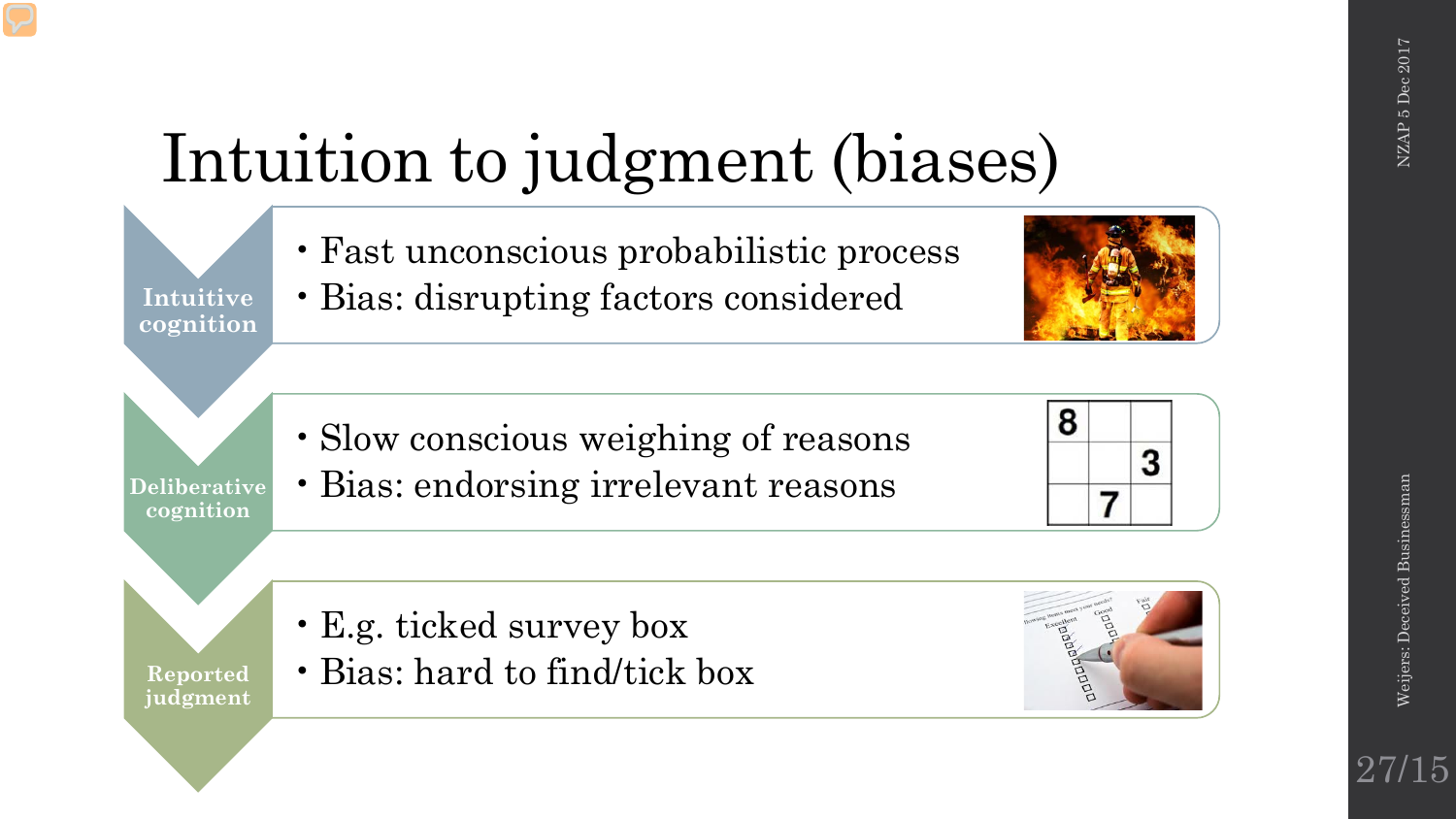### Intuition to judgment (biases)

•Fast unconscious probabilistic process

**Intuitive cognition** •Bias: disrupting factors considered

**Deliberative cognition**

•Slow conscious weighing of reasons •Bias: endorsing irrelevant reasons



•E.g. ticked survey box

**Reported judgment** •Bias: hard to find/tick box